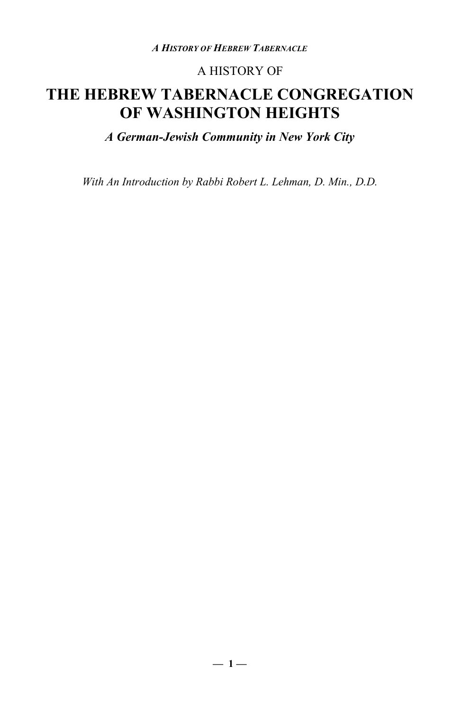### A HISTORY OF

### **THE HEBREW TABERNACLE CONGREGATION OF WASHINGTON HEIGHTS**

*A German-Jewish Community in New York City*

*With An Introduction by Rabbi Robert L. Lehman, D. Min., D.D.*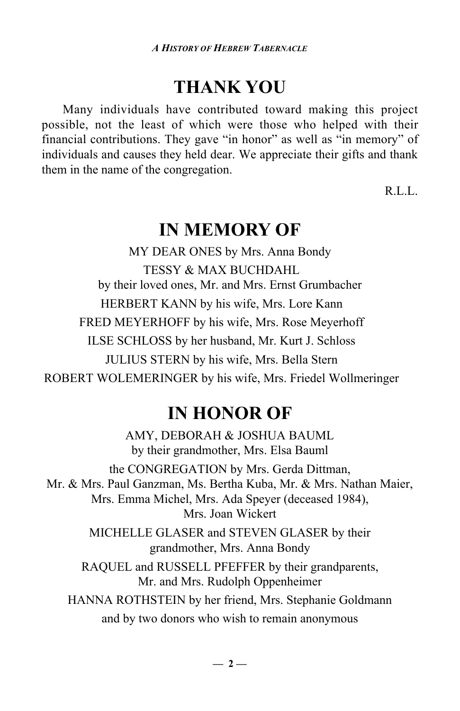### **THANK YOU**

Many individuals have contributed toward making this project possible, not the least of which were those who helped with their financial contributions. They gave "in honor" as well as "in memory" of individuals and causes they held dear. We appreciate their gifts and thank them in the name of the congregation.

R.L.L.

### **IN MEMORY OF**

MY DEAR ONES by Mrs. Anna Bondy TESSY & MAX BUCHDAHL by their loved ones, Mr. and Mrs. Ernst Grumbacher HERBERT KANN by his wife, Mrs. Lore Kann FRED MEYERHOFF by his wife, Mrs. Rose Meyerhoff ILSE SCHLOSS by her husband, Mr. Kurt J. Schloss JULIUS STERN by his wife, Mrs. Bella Stern ROBERT WOLEMERINGER by his wife, Mrs. Friedel Wollmeringer

### **IN HONOR OF**

AMY, DEBORAH & JOSHUA BAUML by their grandmother, Mrs. Elsa Bauml the CONGREGATION by Mrs. Gerda Dittman, Mr. & Mrs. Paul Ganzman, Ms. Bertha Kuba, Mr. & Mrs. Nathan Maier, Mrs. Emma Michel, Mrs. Ada Speyer (deceased 1984), Mrs. Joan Wickert MICHELLE GLASER and STEVEN GLASER by their grandmother, Mrs. Anna Bondy RAQUEL and RUSSELL PFEFFER by their grandparents, Mr. and Mrs. Rudolph Oppenheimer HANNA ROTHSTEIN by her friend, Mrs. Stephanie Goldmann and by two donors who wish to remain anonymous

 $-2-$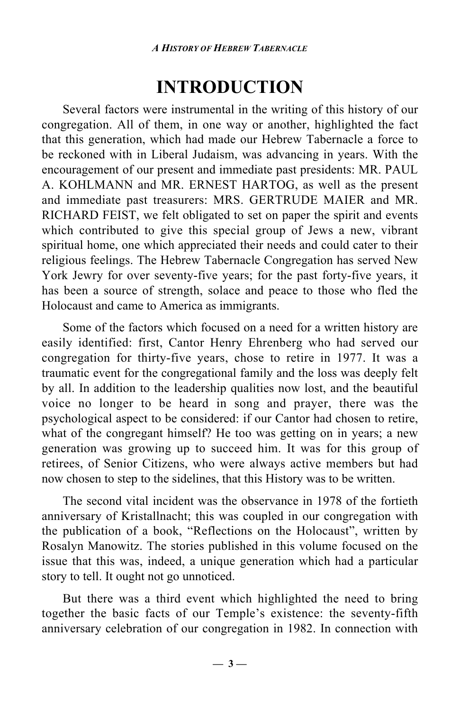## **INTRODUCTION**

Several factors were instrumental in the writing of this history of our congregation. All of them, in one way or another, highlighted the fact that this generation, which had made our Hebrew Tabernacle a force to be reckoned with in Liberal Judaism, was advancing in years. With the encouragement of our present and immediate past presidents: MR. PAUL A. KOHLMANN and MR. ERNEST HARTOG, as well as the present and immediate past treasurers: MRS. GERTRUDE MAIER and MR. RICHARD FEIST, we felt obligated to set on paper the spirit and events which contributed to give this special group of Jews a new, vibrant spiritual home, one which appreciated their needs and could cater to their religious feelings. The Hebrew Tabernacle Congregation has served New York Jewry for over seventy-five years; for the past forty-five years, it has been a source of strength, solace and peace to those who fled the Holocaust and came to America as immigrants.

Some of the factors which focused on a need for a written history are easily identified: first, Cantor Henry Ehrenberg who had served our congregation for thirty-five years, chose to retire in 1977. It was a traumatic event for the congregational family and the loss was deeply felt by all. In addition to the leadership qualities now lost, and the beautiful voice no longer to be heard in song and prayer, there was the psychological aspect to be considered: if our Cantor had chosen to retire, what of the congregant himself? He too was getting on in years; a new generation was growing up to succeed him. It was for this group of retirees, of Senior Citizens, who were always active members but had now chosen to step to the sidelines, that this History was to be written.

The second vital incident was the observance in 1978 of the fortieth anniversary of Kristallnacht; this was coupled in our congregation with the publication of a book, "Reflections on the Holocaust", written by Rosalyn Manowitz. The stories published in this volume focused on the issue that this was, indeed, a unique generation which had a particular story to tell. It ought not go unnoticed.

But there was a third event which highlighted the need to bring together the basic facts of our Temple's existence: the seventy-fifth anniversary celebration of our congregation in 1982. In connection with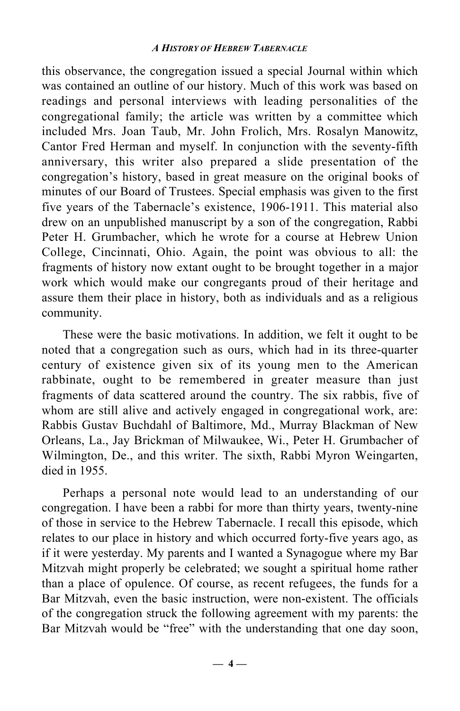this observance, the congregation issued a special Journal within which was contained an outline of our history. Much of this work was based on readings and personal interviews with leading personalities of the congregational family; the article was written by a committee which included Mrs. Joan Taub, Mr. John Frolich, Mrs. Rosalyn Manowitz, Cantor Fred Herman and myself. In conjunction with the seventy-fifth anniversary, this writer also prepared a slide presentation of the congregation's history, based in great measure on the original books of minutes of our Board of Trustees. Special emphasis was given to the first five years of the Tabernacle's existence, 1906-1911. This material also drew on an unpublished manuscript by a son of the congregation, Rabbi Peter H. Grumbacher, which he wrote for a course at Hebrew Union College, Cincinnati, Ohio. Again, the point was obvious to all: the fragments of history now extant ought to be brought together in a major work which would make our congregants proud of their heritage and assure them their place in history, both as individuals and as a religious community.

These were the basic motivations. In addition, we felt it ought to be noted that a congregation such as ours, which had in its three-quarter century of existence given six of its young men to the American rabbinate, ought to be remembered in greater measure than just fragments of data scattered around the country. The six rabbis, five of whom are still alive and actively engaged in congregational work, are: Rabbis Gustav Buchdahl of Baltimore, Md., Murray Blackman of New Orleans, La., Jay Brickman of Milwaukee, Wi., Peter H. Grumbacher of Wilmington, De., and this writer. The sixth, Rabbi Myron Weingarten, died in 1955.

Perhaps a personal note would lead to an understanding of our congregation. I have been a rabbi for more than thirty years, twenty-nine of those in service to the Hebrew Tabernacle. I recall this episode, which relates to our place in history and which occurred forty-five years ago, as if it were yesterday. My parents and I wanted a Synagogue where my Bar Mitzvah might properly be celebrated; we sought a spiritual home rather than a place of opulence. Of course, as recent refugees, the funds for a Bar Mitzvah, even the basic instruction, were non-existent. The officials of the congregation struck the following agreement with my parents: the Bar Mitzvah would be "free" with the understanding that one day soon,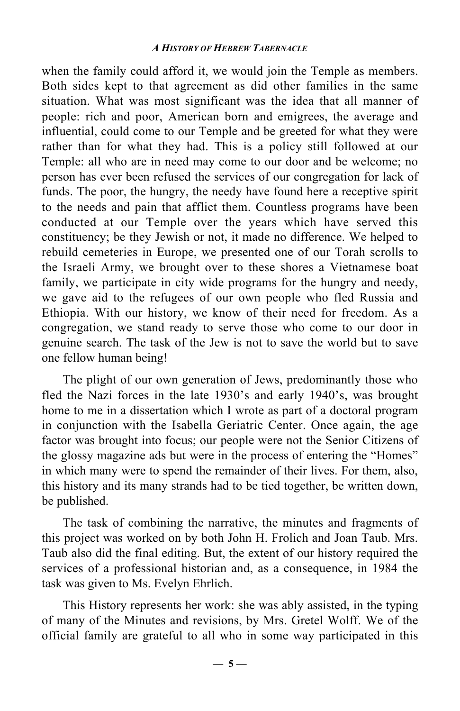when the family could afford it, we would join the Temple as members. Both sides kept to that agreement as did other families in the same situation. What was most significant was the idea that all manner of people: rich and poor, American born and emigrees, the average and influential, could come to our Temple and be greeted for what they were rather than for what they had. This is a policy still followed at our Temple: all who are in need may come to our door and be welcome; no person has ever been refused the services of our congregation for lack of funds. The poor, the hungry, the needy have found here a receptive spirit to the needs and pain that afflict them. Countless programs have been conducted at our Temple over the years which have served this constituency; be they Jewish or not, it made no difference. We helped to rebuild cemeteries in Europe, we presented one of our Torah scrolls to the Israeli Army, we brought over to these shores a Vietnamese boat family, we participate in city wide programs for the hungry and needy, we gave aid to the refugees of our own people who fled Russia and Ethiopia. With our history, we know of their need for freedom. As a congregation, we stand ready to serve those who come to our door in genuine search. The task of the Jew is not to save the world but to save one fellow human being!

The plight of our own generation of Jews, predominantly those who fled the Nazi forces in the late 1930's and early 1940's, was brought home to me in a dissertation which I wrote as part of a doctoral program in conjunction with the Isabella Geriatric Center. Once again, the age factor was brought into focus; our people were not the Senior Citizens of the glossy magazine ads but were in the process of entering the "Homes" in which many were to spend the remainder of their lives. For them, also, this history and its many strands had to be tied together, be written down, be published.

The task of combining the narrative, the minutes and fragments of this project was worked on by both John H. Frolich and Joan Taub. Mrs. Taub also did the final editing. But, the extent of our history required the services of a professional historian and, as a consequence, in 1984 the task was given to Ms. Evelyn Ehrlich.

This History represents her work: she was ably assisted, in the typing of many of the Minutes and revisions, by Mrs. Gretel Wolff. We of the official family are grateful to all who in some way participated in this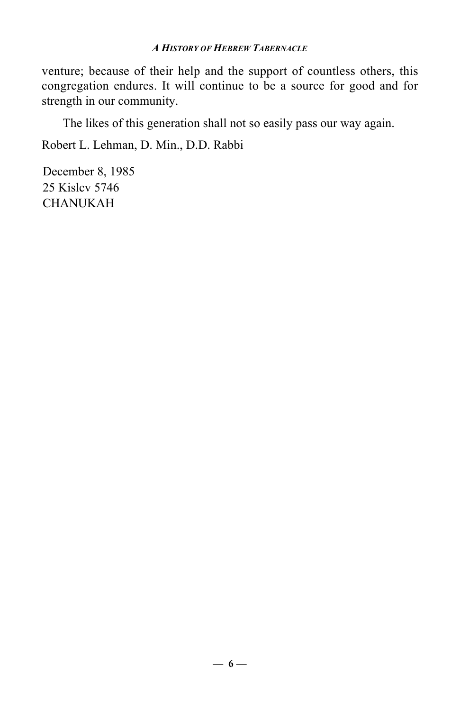venture; because of their help and the support of countless others, this congregation endures. It will continue to be a source for good and for strength in our community.

The likes of this generation shall not so easily pass our way again.

Robert L. Lehman, D. Min., D.D. Rabbi

December 8, 1985 25 Kislcv 5746 CHANUKAH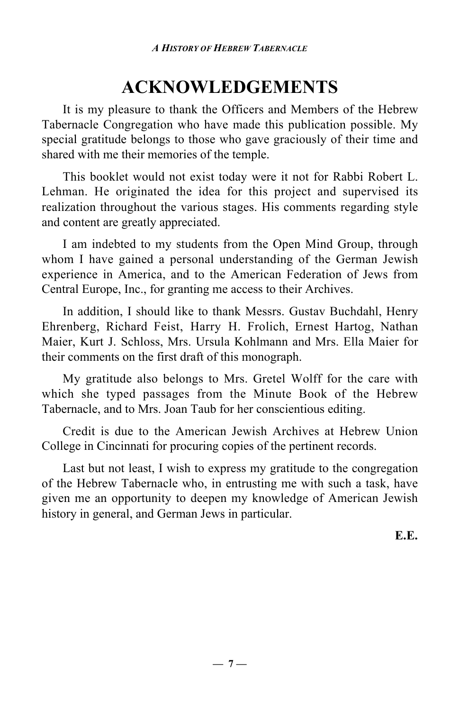# **ACKNOWLEDGEMENTS**

It is my pleasure to thank the Officers and Members of the Hebrew Tabernacle Congregation who have made this publication possible. My special gratitude belongs to those who gave graciously of their time and shared with me their memories of the temple.

This booklet would not exist today were it not for Rabbi Robert L. Lehman. He originated the idea for this project and supervised its realization throughout the various stages. His comments regarding style and content are greatly appreciated.

I am indebted to my students from the Open Mind Group, through whom I have gained a personal understanding of the German Jewish experience in America, and to the American Federation of Jews from Central Europe, Inc., for granting me access to their Archives.

In addition, I should like to thank Messrs. Gustav Buchdahl, Henry Ehrenberg, Richard Feist, Harry H. Frolich, Ernest Hartog, Nathan Maier, Kurt J. Schloss, Mrs. Ursula Kohlmann and Mrs. Ella Maier for their comments on the first draft of this monograph.

My gratitude also belongs to Mrs. Gretel Wolff for the care with which she typed passages from the Minute Book of the Hebrew Tabernacle, and to Mrs. Joan Taub for her conscientious editing.

Credit is due to the American Jewish Archives at Hebrew Union College in Cincinnati for procuring copies of the pertinent records.

Last but not least, I wish to express my gratitude to the congregation of the Hebrew Tabernacle who, in entrusting me with such a task, have given me an opportunity to deepen my knowledge of American Jewish history in general, and German Jews in particular.

**E.E.**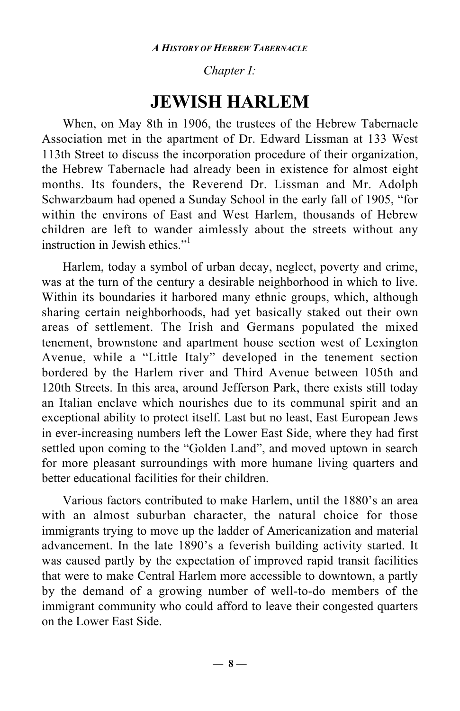### *Chapter I:*

### **JEWISH HARLEM**

When, on May 8th in 1906, the trustees of the Hebrew Tabernacle Association met in the apartment of Dr. Edward Lissman at 133 West 113th Street to discuss the incorporation procedure of their organization, the Hebrew Tabernacle had already been in existence for almost eight months. Its founders, the Reverend Dr. Lissman and Mr. Adolph Schwarzbaum had opened a Sunday School in the early fall of 1905, "for within the environs of East and West Harlem, thousands of Hebrew children are left to wander aimlessly about the streets without any instruction in Jewish ethics<sup>"1</sup>

Harlem, today a symbol of urban decay, neglect, poverty and crime, was at the turn of the century a desirable neighborhood in which to live. Within its boundaries it harbored many ethnic groups, which, although sharing certain neighborhoods, had yet basically staked out their own areas of settlement. The Irish and Germans populated the mixed tenement, brownstone and apartment house section west of Lexington Avenue, while a "Little Italy" developed in the tenement section bordered by the Harlem river and Third Avenue between 105th and 120th Streets. In this area, around Jefferson Park, there exists still today an Italian enclave which nourishes due to its communal spirit and an exceptional ability to protect itself. Last but no least, East European Jews in ever-increasing numbers left the Lower East Side, where they had first settled upon coming to the "Golden Land", and moved uptown in search for more pleasant surroundings with more humane living quarters and better educational facilities for their children.

Various factors contributed to make Harlem, until the 1880's an area with an almost suburban character, the natural choice for those immigrants trying to move up the ladder of Americanization and material advancement. In the late 1890's a feverish building activity started. It was caused partly by the expectation of improved rapid transit facilities that were to make Central Harlem more accessible to downtown, a partly by the demand of a growing number of well-to-do members of the immigrant community who could afford to leave their congested quarters on the Lower East Side.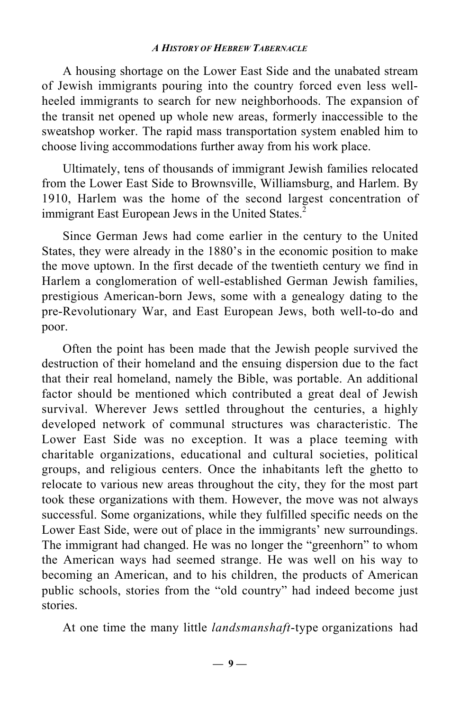A housing shortage on the Lower East Side and the unabated stream of Jewish immigrants pouring into the country forced even less wellheeled immigrants to search for new neighborhoods. The expansion of the transit net opened up whole new areas, formerly inaccessible to the sweatshop worker. The rapid mass transportation system enabled him to choose living accommodations further away from his work place.

Ultimately, tens of thousands of immigrant Jewish families relocated from the Lower East Side to Brownsville, Williamsburg, and Harlem. By 1910, Harlem was the home of the second largest concentration of immigrant East European Jews in the United States.<sup>2</sup>

Since German Jews had come earlier in the century to the United States, they were already in the 1880's in the economic position to make the move uptown. In the first decade of the twentieth century we find in Harlem a conglomeration of well-established German Jewish families, prestigious American-born Jews, some with a genealogy dating to the pre-Revolutionary War, and East European Jews, both well-to-do and poor.

Often the point has been made that the Jewish people survived the destruction of their homeland and the ensuing dispersion due to the fact that their real homeland, namely the Bible, was portable. An additional factor should be mentioned which contributed a great deal of Jewish survival. Wherever Jews settled throughout the centuries, a highly developed network of communal structures was characteristic. The Lower East Side was no exception. It was a place teeming with charitable organizations, educational and cultural societies, political groups, and religious centers. Once the inhabitants left the ghetto to relocate to various new areas throughout the city, they for the most part took these organizations with them. However, the move was not always successful. Some organizations, while they fulfilled specific needs on the Lower East Side, were out of place in the immigrants' new surroundings. The immigrant had changed. He was no longer the "greenhorn" to whom the American ways had seemed strange. He was well on his way to becoming an American, and to his children, the products of American public schools, stories from the "old country" had indeed become just stories.

At one time the many little *landsmanshaft*-type organizations had

**— 9 —**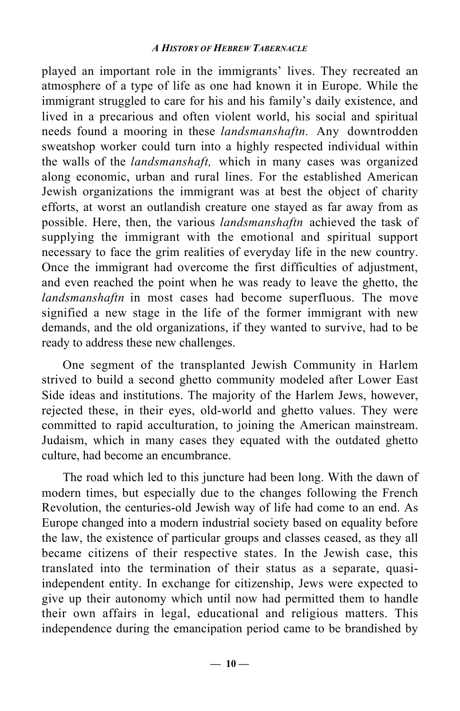played an important role in the immigrants' lives. They recreated an atmosphere of a type of life as one had known it in Europe. While the immigrant struggled to care for his and his family's daily existence, and lived in a precarious and often violent world, his social and spiritual needs found a mooring in these *landsmanshaftn.* Any downtrodden sweatshop worker could turn into a highly respected individual within the walls of the *landsmanshaft,* which in many cases was organized along economic, urban and rural lines. For the established American Jewish organizations the immigrant was at best the object of charity efforts, at worst an outlandish creature one stayed as far away from as possible. Here, then, the various *landsmanshaftn* achieved the task of supplying the immigrant with the emotional and spiritual support necessary to face the grim realities of everyday life in the new country. Once the immigrant had overcome the first difficulties of adjustment, and even reached the point when he was ready to leave the ghetto, the *landsmanshaftn* in most cases had become superfluous. The move signified a new stage in the life of the former immigrant with new demands, and the old organizations, if they wanted to survive, had to be ready to address these new challenges.

One segment of the transplanted Jewish Community in Harlem strived to build a second ghetto community modeled after Lower East Side ideas and institutions. The majority of the Harlem Jews, however, rejected these, in their eyes, old-world and ghetto values. They were committed to rapid acculturation, to joining the American mainstream. Judaism, which in many cases they equated with the outdated ghetto culture, had become an encumbrance.

The road which led to this juncture had been long. With the dawn of modern times, but especially due to the changes following the French Revolution, the centuries-old Jewish way of life had come to an end. As Europe changed into a modern industrial society based on equality before the law, the existence of particular groups and classes ceased, as they all became citizens of their respective states. In the Jewish case, this translated into the termination of their status as a separate, quasiindependent entity. In exchange for citizenship, Jews were expected to give up their autonomy which until now had permitted them to handle their own affairs in legal, educational and religious matters. This independence during the emancipation period came to be brandished by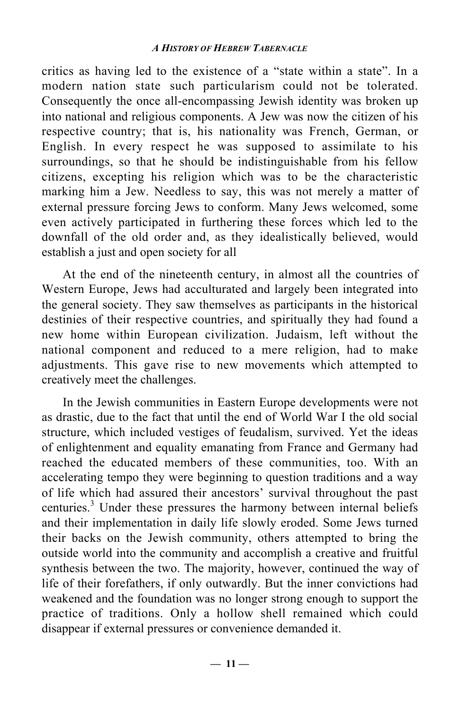critics as having led to the existence of a "state within a state". In a modern nation state such particularism could not be tolerated. Consequently the once all-encompassing Jewish identity was broken up into national and religious components. A Jew was now the citizen of his respective country; that is, his nationality was French, German, or English. In every respect he was supposed to assimilate to his surroundings, so that he should be indistinguishable from his fellow citizens, excepting his religion which was to be the characteristic marking him a Jew. Needless to say, this was not merely a matter of external pressure forcing Jews to conform. Many Jews welcomed, some even actively participated in furthering these forces which led to the downfall of the old order and, as they idealistically believed, would establish a just and open society for all

At the end of the nineteenth century, in almost all the countries of Western Europe, Jews had acculturated and largely been integrated into the general society. They saw themselves as participants in the historical destinies of their respective countries, and spiritually they had found a new home within European civilization. Judaism, left without the national component and reduced to a mere religion, had to make adjustments. This gave rise to new movements which attempted to creatively meet the challenges.

In the Jewish communities in Eastern Europe developments were not as drastic, due to the fact that until the end of World War I the old social structure, which included vestiges of feudalism, survived. Yet the ideas of enlightenment and equality emanating from France and Germany had reached the educated members of these communities, too. With an accelerating tempo they were beginning to question traditions and a way of life which had assured their ancestors' survival throughout the past centuries.<sup>3</sup> Under these pressures the harmony between internal beliefs and their implementation in daily life slowly eroded. Some Jews turned their backs on the Jewish community, others attempted to bring the outside world into the community and accomplish a creative and fruitful synthesis between the two. The majority, however, continued the way of life of their forefathers, if only outwardly. But the inner convictions had weakened and the foundation was no longer strong enough to support the practice of traditions. Only a hollow shell remained which could disappear if external pressures or convenience demanded it.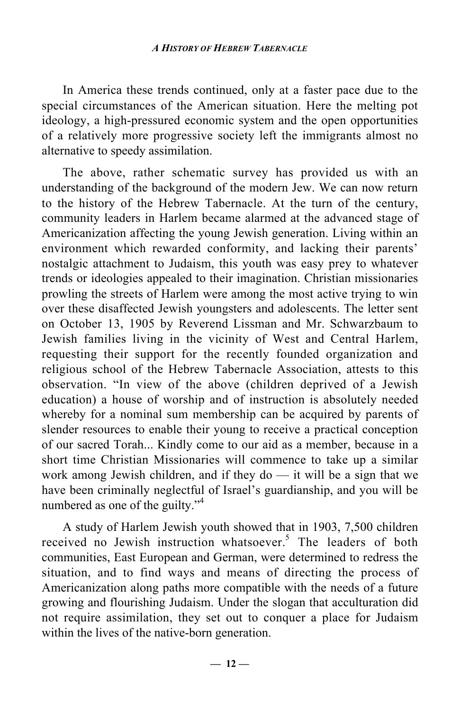In America these trends continued, only at a faster pace due to the special circumstances of the American situation. Here the melting pot ideology, a high-pressured economic system and the open opportunities of a relatively more progressive society left the immigrants almost no alternative to speedy assimilation.

The above, rather schematic survey has provided us with an understanding of the background of the modern Jew. We can now return to the history of the Hebrew Tabernacle. At the turn of the century, community leaders in Harlem became alarmed at the advanced stage of Americanization affecting the young Jewish generation. Living within an environment which rewarded conformity, and lacking their parents' nostalgic attachment to Judaism, this youth was easy prey to whatever trends or ideologies appealed to their imagination. Christian missionaries prowling the streets of Harlem were among the most active trying to win over these disaffected Jewish youngsters and adolescents. The letter sent on October 13, 1905 by Reverend Lissman and Mr. Schwarzbaum to Jewish families living in the vicinity of West and Central Harlem, requesting their support for the recently founded organization and religious school of the Hebrew Tabernacle Association, attests to this observation. "In view of the above (children deprived of a Jewish education) a house of worship and of instruction is absolutely needed whereby for a nominal sum membership can be acquired by parents of slender resources to enable their young to receive a practical conception of our sacred Torah... Kindly come to our aid as a member, because in a short time Christian Missionaries will commence to take up a similar work among Jewish children, and if they do — it will be a sign that we have been criminally neglectful of Israel's guardianship, and you will be numbered as one of the guilty."<sup>4</sup>

A study of Harlem Jewish youth showed that in 1903, 7,500 children received no Jewish instruction whatsoever.<sup>5</sup> The leaders of both communities, East European and German, were determined to redress the situation, and to find ways and means of directing the process of Americanization along paths more compatible with the needs of a future growing and flourishing Judaism. Under the slogan that acculturation did not require assimilation, they set out to conquer a place for Judaism within the lives of the native-born generation.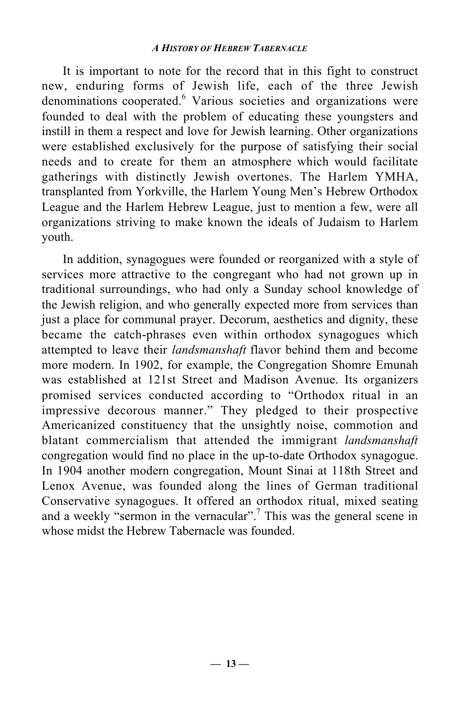It is important to note for the record that in this fight to construct new, enduring forms of Jewish life, each of the three Jewish denominations cooperated.<sup>6</sup> Various societies and organizations were founded to deal with the problem of educating these youngsters and instill in them a respect and love for Jewish learning. Other organizations were established exclusively for the purpose of satisfying their social needs and to create for them an atmosphere which would facilitate gatherings with distinctly Jewish overtones. The Harlem YMHA, transplanted from Yorkville, the Harlem Young Men's Hebrew Orthodox League and the Harlem Hebrew League, just to mention a few, were all organizations striving to make known the ideals of Judaism to Harlem youth.

In addition, synagogues were founded or reorganized with a style of services more attractive to the congregant who had not grown up in traditional surroundings, who had only a Sunday school knowledge of the Jewish religion, and who generally expected more from services than just a place for communal prayer. Decorum, aesthetics and dignity, these became the catch-phrases even within orthodox synagogues which attempted to leave their *landsmanshaft* flavor behind them and become more modern. In 1902, for example, the Congregation Shomre Emunah was established at 121st Street and Madison Avenue. Its organizers promised services conducted according to "Orthodox ritual in an impressive decorous manner." They pledged to their prospective Americanized constituency that the unsightly noise, commotion and blatant commercialism that attended the immigrant *landsmanshaft* congregation would find no place in the up-to-date Orthodox synagogue. In 1904 another modern congregation, Mount Sinai at 118th Street and Lenox Avenue, was founded along the lines of German traditional Conservative synagogues. It offered an orthodox ritual, mixed seating and a weekly "sermon in the vernacular".<sup>7</sup> This was the general scene in whose midst the Hebrew Tabernacle was founded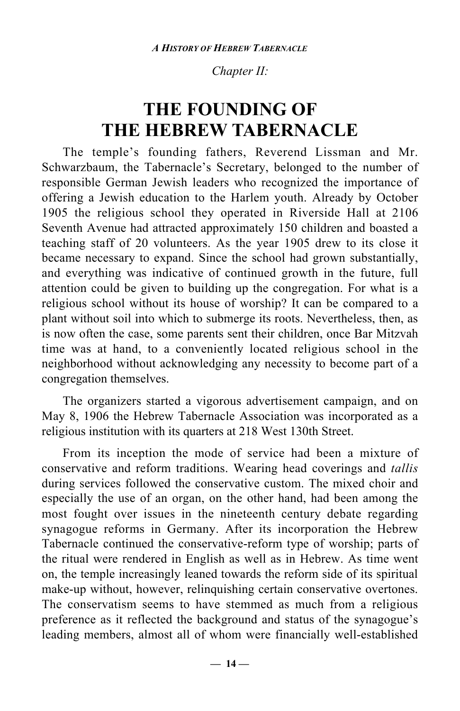#### *Chapter II:*

## **THE FOUNDING OF THE HEBREW TABERNACLE**

The temple's founding fathers, Reverend Lissman and Mr. Schwarzbaum, the Tabernacle's Secretary, belonged to the number of responsible German Jewish leaders who recognized the importance of offering a Jewish education to the Harlem youth. Already by October 1905 the religious school they operated in Riverside Hall at 2106 Seventh Avenue had attracted approximately 150 children and boasted a teaching staff of 20 volunteers. As the year 1905 drew to its close it became necessary to expand. Since the school had grown substantially, and everything was indicative of continued growth in the future, full attention could be given to building up the congregation. For what is a religious school without its house of worship? It can be compared to a plant without soil into which to submerge its roots. Nevertheless, then, as is now often the case, some parents sent their children, once Bar Mitzvah time was at hand, to a conveniently located religious school in the neighborhood without acknowledging any necessity to become part of a congregation themselves.

The organizers started a vigorous advertisement campaign, and on May 8, 1906 the Hebrew Tabernacle Association was incorporated as a religious institution with its quarters at 218 West 130th Street.

From its inception the mode of service had been a mixture of conservative and reform traditions. Wearing head coverings and *tallis* during services followed the conservative custom. The mixed choir and especially the use of an organ, on the other hand, had been among the most fought over issues in the nineteenth century debate regarding synagogue reforms in Germany. After its incorporation the Hebrew Tabernacle continued the conservative-reform type of worship; parts of the ritual were rendered in English as well as in Hebrew. As time went on, the temple increasingly leaned towards the reform side of its spiritual make-up without, however, relinquishing certain conservative overtones. The conservatism seems to have stemmed as much from a religious preference as it reflected the background and status of the synagogue's leading members, almost all of whom were financially well-established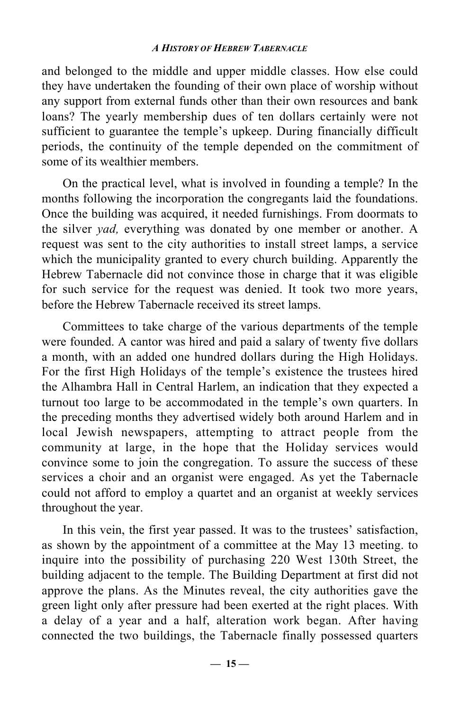and belonged to the middle and upper middle classes. How else could they have undertaken the founding of their own place of worship without any support from external funds other than their own resources and bank loans? The yearly membership dues of ten dollars certainly were not sufficient to guarantee the temple's upkeep. During financially difficult periods, the continuity of the temple depended on the commitment of some of its wealthier members.

On the practical level, what is involved in founding a temple? In the months following the incorporation the congregants laid the foundations. Once the building was acquired, it needed furnishings. From doormats to the silver *yad,* everything was donated by one member or another. A request was sent to the city authorities to install street lamps, a service which the municipality granted to every church building. Apparently the Hebrew Tabernacle did not convince those in charge that it was eligible for such service for the request was denied. It took two more years, before the Hebrew Tabernacle received its street lamps.

Committees to take charge of the various departments of the temple were founded. A cantor was hired and paid a salary of twenty five dollars a month, with an added one hundred dollars during the High Holidays. For the first High Holidays of the temple's existence the trustees hired the Alhambra Hall in Central Harlem, an indication that they expected a turnout too large to be accommodated in the temple's own quarters. In the preceding months they advertised widely both around Harlem and in local Jewish newspapers, attempting to attract people from the community at large, in the hope that the Holiday services would convince some to join the congregation. To assure the success of these services a choir and an organist were engaged. As yet the Tabernacle could not afford to employ a quartet and an organist at weekly services throughout the year.

In this vein, the first year passed. It was to the trustees' satisfaction, as shown by the appointment of a committee at the May 13 meeting. to inquire into the possibility of purchasing 220 West 130th Street, the building adjacent to the temple. The Building Department at first did not approve the plans. As the Minutes reveal, the city authorities gave the green light only after pressure had been exerted at the right places. With a delay of a year and a half, alteration work began. After having connected the two buildings, the Tabernacle finally possessed quarters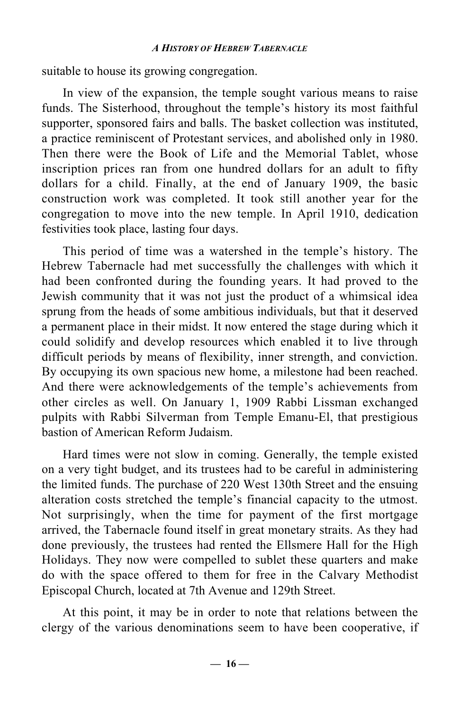suitable to house its growing congregation.

In view of the expansion, the temple sought various means to raise funds. The Sisterhood, throughout the temple's history its most faithful supporter, sponsored fairs and balls. The basket collection was instituted, a practice reminiscent of Protestant services, and abolished only in 1980. Then there were the Book of Life and the Memorial Tablet, whose inscription prices ran from one hundred dollars for an adult to fifty dollars for a child. Finally, at the end of January 1909, the basic construction work was completed. It took still another year for the congregation to move into the new temple. In April 1910, dedication festivities took place, lasting four days.

This period of time was a watershed in the temple's history. The Hebrew Tabernacle had met successfully the challenges with which it had been confronted during the founding years. It had proved to the Jewish community that it was not just the product of a whimsical idea sprung from the heads of some ambitious individuals, but that it deserved a permanent place in their midst. It now entered the stage during which it could solidify and develop resources which enabled it to live through difficult periods by means of flexibility, inner strength, and conviction. By occupying its own spacious new home, a milestone had been reached. And there were acknowledgements of the temple's achievements from other circles as well. On January 1, 1909 Rabbi Lissman exchanged pulpits with Rabbi Silverman from Temple Emanu-El, that prestigious bastion of American Reform Judaism.

Hard times were not slow in coming. Generally, the temple existed on a very tight budget, and its trustees had to be careful in administering the limited funds. The purchase of 220 West 130th Street and the ensuing alteration costs stretched the temple's financial capacity to the utmost. Not surprisingly, when the time for payment of the first mortgage arrived, the Tabernacle found itself in great monetary straits. As they had done previously, the trustees had rented the Ellsmere Hall for the High Holidays. They now were compelled to sublet these quarters and make do with the space offered to them for free in the Calvary Methodist Episcopal Church, located at 7th Avenue and 129th Street.

At this point, it may be in order to note that relations between the clergy of the various denominations seem to have been cooperative, if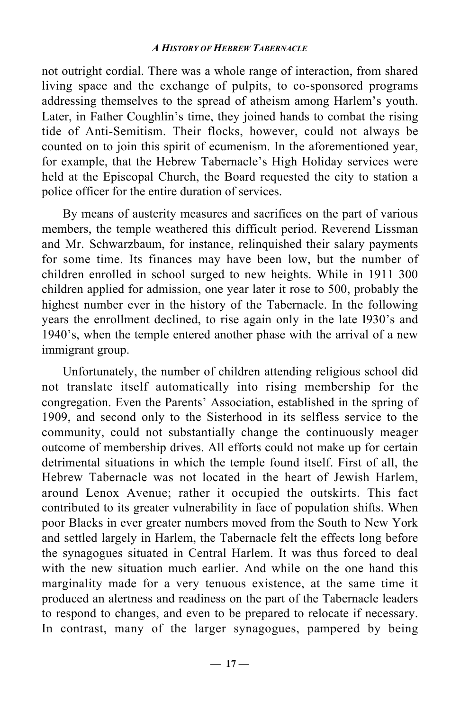not outright cordial. There was a whole range of interaction, from shared living space and the exchange of pulpits, to co-sponsored programs addressing themselves to the spread of atheism among Harlem's youth. Later, in Father Coughlin's time, they joined hands to combat the rising tide of Anti-Semitism. Their flocks, however, could not always be counted on to join this spirit of ecumenism. In the aforementioned year, for example, that the Hebrew Tabernacle's High Holiday services were held at the Episcopal Church, the Board requested the city to station a police officer for the entire duration of services.

By means of austerity measures and sacrifices on the part of various members, the temple weathered this difficult period. Reverend Lissman and Mr. Schwarzbaum, for instance, relinquished their salary payments for some time. Its finances may have been low, but the number of children enrolled in school surged to new heights. While in 1911 300 children applied for admission, one year later it rose to 500, probably the highest number ever in the history of the Tabernacle. In the following years the enrollment declined, to rise again only in the late I930's and 1940's, when the temple entered another phase with the arrival of a new immigrant group.

Unfortunately, the number of children attending religious school did not translate itself automatically into rising membership for the congregation. Even the Parents' Association, established in the spring of 1909, and second only to the Sisterhood in its selfless service to the community, could not substantially change the continuously meager outcome of membership drives. All efforts could not make up for certain detrimental situations in which the temple found itself. First of all, the Hebrew Tabernacle was not located in the heart of Jewish Harlem, around Lenox Avenue; rather it occupied the outskirts. This fact contributed to its greater vulnerability in face of population shifts. When poor Blacks in ever greater numbers moved from the South to New York and settled largely in Harlem, the Tabernacle felt the effects long before the synagogues situated in Central Harlem. It was thus forced to deal with the new situation much earlier. And while on the one hand this marginality made for a very tenuous existence, at the same time it produced an alertness and readiness on the part of the Tabernacle leaders to respond to changes, and even to be prepared to relocate if necessary. In contrast, many of the larger synagogues, pampered by being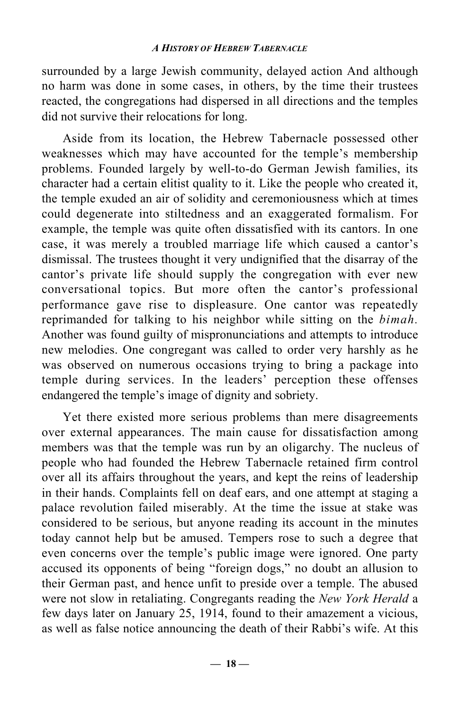surrounded by a large Jewish community, delayed action And although no harm was done in some cases, in others, by the time their trustees reacted, the congregations had dispersed in all directions and the temples did not survive their relocations for long.

Aside from its location, the Hebrew Tabernacle possessed other weaknesses which may have accounted for the temple's membership problems. Founded largely by well-to-do German Jewish families, its character had a certain elitist quality to it. Like the people who created it, the temple exuded an air of solidity and ceremoniousness which at times could degenerate into stiltedness and an exaggerated formalism. For example, the temple was quite often dissatisfied with its cantors. In one case, it was merely a troubled marriage life which caused a cantor's dismissal. The trustees thought it very undignified that the disarray of the cantor's private life should supply the congregation with ever new conversational topics. But more often the cantor's professional performance gave rise to displeasure. One cantor was repeatedly reprimanded for talking to his neighbor while sitting on the *bimah.* Another was found guilty of mispronunciations and attempts to introduce new melodies. One congregant was called to order very harshly as he was observed on numerous occasions trying to bring a package into temple during services. In the leaders' perception these offenses endangered the temple's image of dignity and sobriety.

Yet there existed more serious problems than mere disagreements over external appearances. The main cause for dissatisfaction among members was that the temple was run by an oligarchy. The nucleus of people who had founded the Hebrew Tabernacle retained firm control over all its affairs throughout the years, and kept the reins of leadership in their hands. Complaints fell on deaf ears, and one attempt at staging a palace revolution failed miserably. At the time the issue at stake was considered to be serious, but anyone reading its account in the minutes today cannot help but be amused. Tempers rose to such a degree that even concerns over the temple's public image were ignored. One party accused its opponents of being "foreign dogs," no doubt an allusion to their German past, and hence unfit to preside over a temple. The abused were not slow in retaliating. Congregants reading the *New York Herald* a few days later on January 25, 1914, found to their amazement a vicious, as well as false notice announcing the death of their Rabbi's wife. At this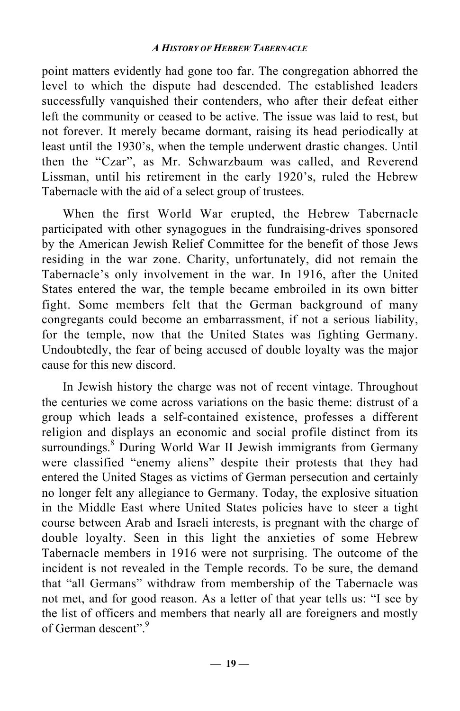point matters evidently had gone too far. The congregation abhorred the level to which the dispute had descended. The established leaders successfully vanquished their contenders, who after their defeat either left the community or ceased to be active. The issue was laid to rest, but not forever. It merely became dormant, raising its head periodically at least until the 1930's, when the temple underwent drastic changes. Until then the "Czar", as Mr. Schwarzbaum was called, and Reverend Lissman, until his retirement in the early 1920's, ruled the Hebrew Tabernacle with the aid of a select group of trustees.

When the first World War erupted, the Hebrew Tabernacle participated with other synagogues in the fundraising-drives sponsored by the American Jewish Relief Committee for the benefit of those Jews residing in the war zone. Charity, unfortunately, did not remain the Tabernacle's only involvement in the war. In 1916, after the United States entered the war, the temple became embroiled in its own bitter fight. Some members felt that the German background of many congregants could become an embarrassment, if not a serious liability, for the temple, now that the United States was fighting Germany. Undoubtedly, the fear of being accused of double loyalty was the major cause for this new discord.

In Jewish history the charge was not of recent vintage. Throughout the centuries we come across variations on the basic theme: distrust of a group which leads a self-contained existence, professes a different religion and displays an economic and social profile distinct from its surroundings.<sup>8</sup> During World War II Jewish immigrants from Germany were classified "enemy aliens" despite their protests that they had entered the United Stages as victims of German persecution and certainly no longer felt any allegiance to Germany. Today, the explosive situation in the Middle East where United States policies have to steer a tight course between Arab and Israeli interests, is pregnant with the charge of double loyalty. Seen in this light the anxieties of some Hebrew Tabernacle members in 1916 were not surprising. The outcome of the incident is not revealed in the Temple records. To be sure, the demand that "all Germans" withdraw from membership of the Tabernacle was not met, and for good reason. As a letter of that year tells us: "I see by the list of officers and members that nearly all are foreigners and mostly of German descent"<sup>9</sup>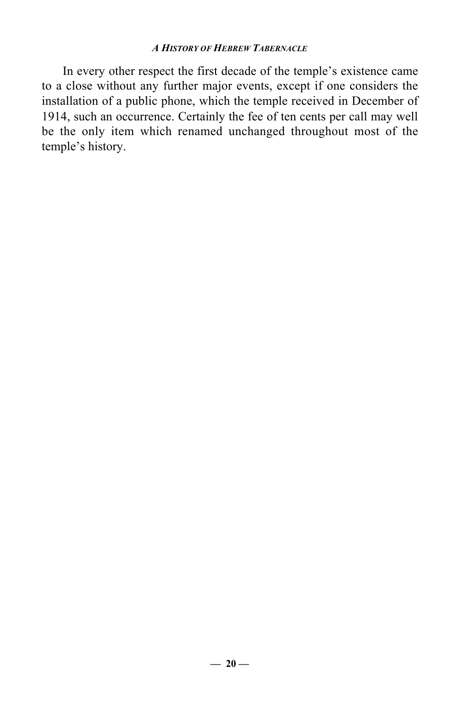In every other respect the first decade of the temple's existence came to a close without any further major events, except if one considers the installation of a public phone, which the temple received in December of 1914, such an occurrence. Certainly the fee of ten cents per call may well be the only item which renamed unchanged throughout most of the temple's history.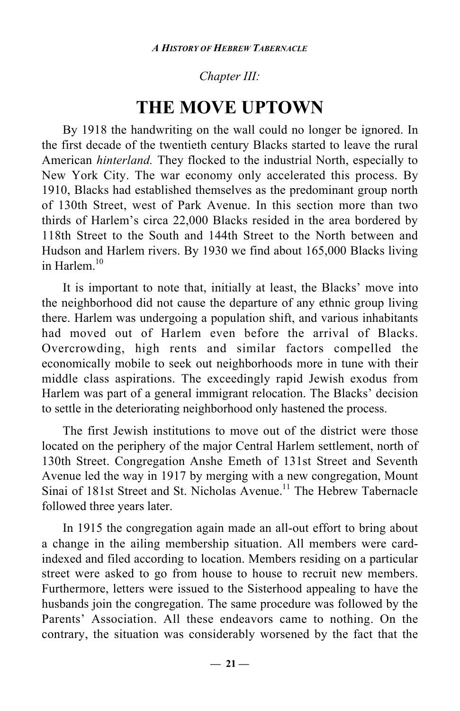### *Chapter III:*

## **THE MOVE UPTOWN**

By 1918 the handwriting on the wall could no longer be ignored. In the first decade of the twentieth century Blacks started to leave the rural American *hinterland.* They flocked to the industrial North, especially to New York City. The war economy only accelerated this process. By 1910, Blacks had established themselves as the predominant group north of 130th Street, west of Park Avenue. In this section more than two thirds of Harlem's circa 22,000 Blacks resided in the area bordered by 118th Street to the South and 144th Street to the North between and Hudson and Harlem rivers. By 1930 we find about 165,000 Blacks living in Harlem $10$ 

It is important to note that, initially at least, the Blacks' move into the neighborhood did not cause the departure of any ethnic group living there. Harlem was undergoing a population shift, and various inhabitants had moved out of Harlem even before the arrival of Blacks. Overcrowding, high rents and similar factors compelled the economically mobile to seek out neighborhoods more in tune with their middle class aspirations. The exceedingly rapid Jewish exodus from Harlem was part of a general immigrant relocation. The Blacks' decision to settle in the deteriorating neighborhood only hastened the process.

The first Jewish institutions to move out of the district were those located on the periphery of the major Central Harlem settlement, north of 130th Street. Congregation Anshe Emeth of 131st Street and Seventh Avenue led the way in 1917 by merging with a new congregation, Mount Sinai of 181st Street and St. Nicholas Avenue.<sup>11</sup> The Hebrew Tabernacle followed three years later.

In 1915 the congregation again made an all-out effort to bring about a change in the ailing membership situation. All members were cardindexed and filed according to location. Members residing on a particular street were asked to go from house to house to recruit new members. Furthermore, letters were issued to the Sisterhood appealing to have the husbands join the congregation. The same procedure was followed by the Parents' Association. All these endeavors came to nothing. On the contrary, the situation was considerably worsened by the fact that the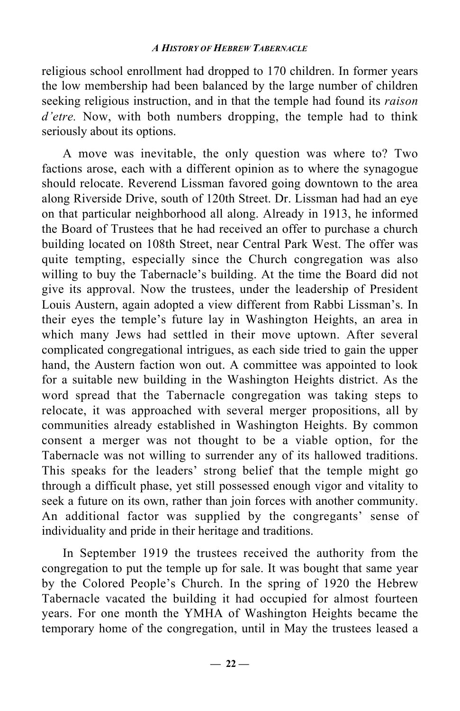religious school enrollment had dropped to 170 children. In former years the low membership had been balanced by the large number of children seeking religious instruction, and in that the temple had found its *raison d'etre.* Now, with both numbers dropping, the temple had to think seriously about its options.

A move was inevitable, the only question was where to? Two factions arose, each with a different opinion as to where the synagogue should relocate. Reverend Lissman favored going downtown to the area along Riverside Drive, south of 120th Street. Dr. Lissman had had an eye on that particular neighborhood all along. Already in 1913, he informed the Board of Trustees that he had received an offer to purchase a church building located on 108th Street, near Central Park West. The offer was quite tempting, especially since the Church congregation was also willing to buy the Tabernacle's building. At the time the Board did not give its approval. Now the trustees, under the leadership of President Louis Austern, again adopted a view different from Rabbi Lissman's. In their eyes the temple's future lay in Washington Heights, an area in which many Jews had settled in their move uptown. After several complicated congregational intrigues, as each side tried to gain the upper hand, the Austern faction won out. A committee was appointed to look for a suitable new building in the Washington Heights district. As the word spread that the Tabernacle congregation was taking steps to relocate, it was approached with several merger propositions, all by communities already established in Washington Heights. By common consent a merger was not thought to be a viable option, for the Tabernacle was not willing to surrender any of its hallowed traditions. This speaks for the leaders' strong belief that the temple might go through a difficult phase, yet still possessed enough vigor and vitality to seek a future on its own, rather than join forces with another community. An additional factor was supplied by the congregants' sense of individuality and pride in their heritage and traditions.

In September 1919 the trustees received the authority from the congregation to put the temple up for sale. It was bought that same year by the Colored People's Church. In the spring of 1920 the Hebrew Tabernacle vacated the building it had occupied for almost fourteen years. For one month the YMHA of Washington Heights became the temporary home of the congregation, until in May the trustees leased a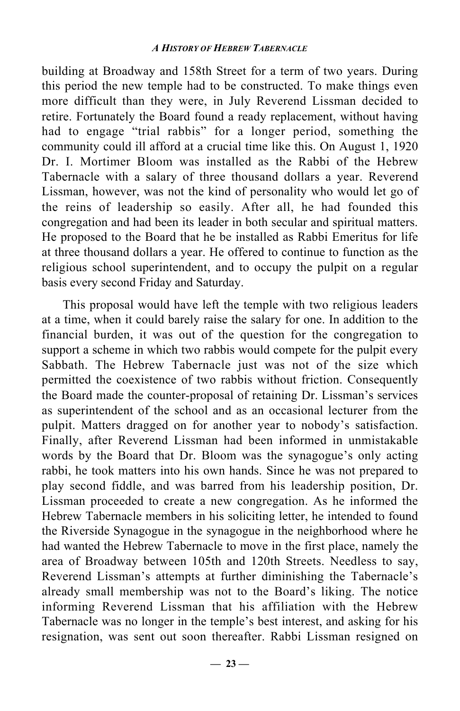building at Broadway and 158th Street for a term of two years. During this period the new temple had to be constructed. To make things even more difficult than they were, in July Reverend Lissman decided to retire. Fortunately the Board found a ready replacement, without having had to engage "trial rabbis" for a longer period, something the community could ill afford at a crucial time like this. On August 1, 1920 Dr. I. Mortimer Bloom was installed as the Rabbi of the Hebrew Tabernacle with a salary of three thousand dollars a year. Reverend Lissman, however, was not the kind of personality who would let go of the reins of leadership so easily. After all, he had founded this congregation and had been its leader in both secular and spiritual matters. He proposed to the Board that he be installed as Rabbi Emeritus for life at three thousand dollars a year. He offered to continue to function as the religious school superintendent, and to occupy the pulpit on a regular basis every second Friday and Saturday.

This proposal would have left the temple with two religious leaders at a time, when it could barely raise the salary for one. In addition to the financial burden, it was out of the question for the congregation to support a scheme in which two rabbis would compete for the pulpit every Sabbath. The Hebrew Tabernacle just was not of the size which permitted the coexistence of two rabbis without friction. Consequently the Board made the counter-proposal of retaining Dr. Lissman's services as superintendent of the school and as an occasional lecturer from the pulpit. Matters dragged on for another year to nobody's satisfaction. Finally, after Reverend Lissman had been informed in unmistakable words by the Board that Dr. Bloom was the synagogue's only acting rabbi, he took matters into his own hands. Since he was not prepared to play second fiddle, and was barred from his leadership position, Dr. Lissman proceeded to create a new congregation. As he informed the Hebrew Tabernacle members in his soliciting letter, he intended to found the Riverside Synagogue in the synagogue in the neighborhood where he had wanted the Hebrew Tabernacle to move in the first place, namely the area of Broadway between 105th and 120th Streets. Needless to say, Reverend Lissman's attempts at further diminishing the Tabernacle's already small membership was not to the Board's liking. The notice informing Reverend Lissman that his affiliation with the Hebrew Tabernacle was no longer in the temple's best interest, and asking for his resignation, was sent out soon thereafter. Rabbi Lissman resigned on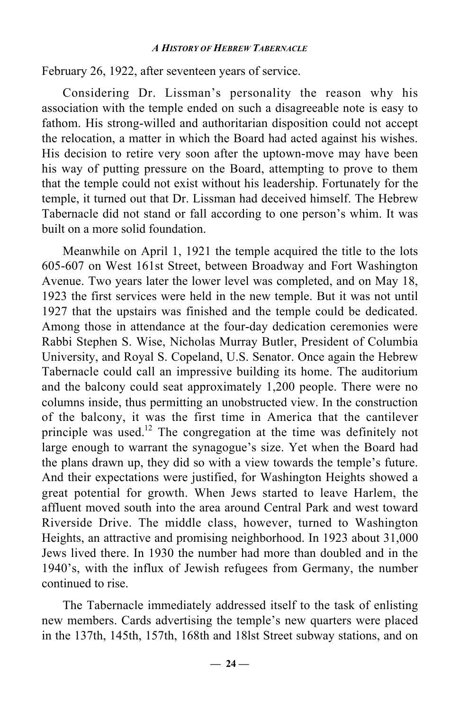February 26, 1922, after seventeen years of service.

Considering Dr. Lissman's personality the reason why his association with the temple ended on such a disagreeable note is easy to fathom. His strong-willed and authoritarian disposition could not accept the relocation, a matter in which the Board had acted against his wishes. His decision to retire very soon after the uptown-move may have been his way of putting pressure on the Board, attempting to prove to them that the temple could not exist without his leadership. Fortunately for the temple, it turned out that Dr. Lissman had deceived himself. The Hebrew Tabernacle did not stand or fall according to one person's whim. It was built on a more solid foundation.

Meanwhile on April 1, 1921 the temple acquired the title to the lots 605-607 on West 161st Street, between Broadway and Fort Washington Avenue. Two years later the lower level was completed, and on May 18, 1923 the first services were held in the new temple. But it was not until 1927 that the upstairs was finished and the temple could be dedicated. Among those in attendance at the four-day dedication ceremonies were Rabbi Stephen S. Wise, Nicholas Murray Butler, President of Columbia University, and Royal S. Copeland, U.S. Senator. Once again the Hebrew Tabernacle could call an impressive building its home. The auditorium and the balcony could seat approximately 1,200 people. There were no columns inside, thus permitting an unobstructed view. In the construction of the balcony, it was the first time in America that the cantilever principle was used.12 The congregation at the time was definitely not large enough to warrant the synagogue's size. Yet when the Board had the plans drawn up, they did so with a view towards the temple's future. And their expectations were justified, for Washington Heights showed a great potential for growth. When Jews started to leave Harlem, the affluent moved south into the area around Central Park and west toward Riverside Drive. The middle class, however, turned to Washington Heights, an attractive and promising neighborhood. In 1923 about 31,000 Jews lived there. In 1930 the number had more than doubled and in the 1940's, with the influx of Jewish refugees from Germany, the number continued to rise.

The Tabernacle immediately addressed itself to the task of enlisting new members. Cards advertising the temple's new quarters were placed in the 137th, 145th, 157th, 168th and 18lst Street subway stations, and on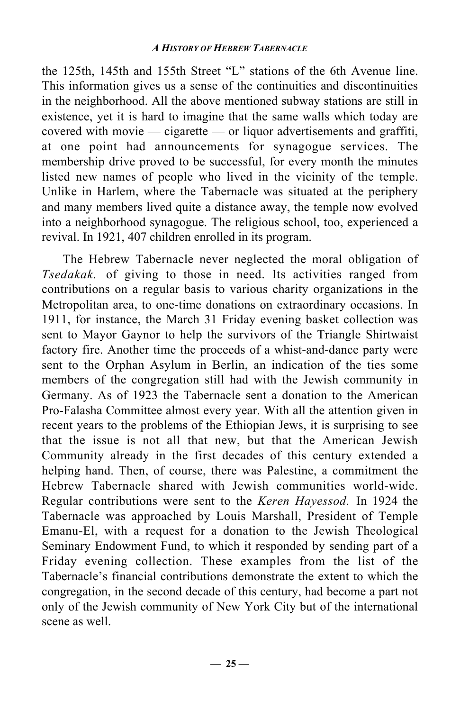the 125th, 145th and 155th Street "L" stations of the 6th Avenue line. This information gives us a sense of the continuities and discontinuities in the neighborhood. All the above mentioned subway stations are still in existence, yet it is hard to imagine that the same walls which today are covered with movie — cigarette — or liquor advertisements and graffiti, at one point had announcements for synagogue services. The membership drive proved to be successful, for every month the minutes listed new names of people who lived in the vicinity of the temple. Unlike in Harlem, where the Tabernacle was situated at the periphery and many members lived quite a distance away, the temple now evolved into a neighborhood synagogue. The religious school, too, experienced a revival. In 1921, 407 children enrolled in its program.

The Hebrew Tabernacle never neglected the moral obligation of *Tsedakak.* of giving to those in need. Its activities ranged from contributions on a regular basis to various charity organizations in the Metropolitan area, to one-time donations on extraordinary occasions. In 1911, for instance, the March 31 Friday evening basket collection was sent to Mayor Gaynor to help the survivors of the Triangle Shirtwaist factory fire. Another time the proceeds of a whist-and-dance party were sent to the Orphan Asylum in Berlin, an indication of the ties some members of the congregation still had with the Jewish community in Germany. As of 1923 the Tabernacle sent a donation to the American Pro-Falasha Committee almost every year. With all the attention given in recent years to the problems of the Ethiopian Jews, it is surprising to see that the issue is not all that new, but that the American Jewish Community already in the first decades of this century extended a helping hand. Then, of course, there was Palestine, a commitment the Hebrew Tabernacle shared with Jewish communities world-wide. Regular contributions were sent to the *Keren Hayessod.* In 1924 the Tabernacle was approached by Louis Marshall, President of Temple Emanu-El, with a request for a donation to the Jewish Theological Seminary Endowment Fund, to which it responded by sending part of a Friday evening collection. These examples from the list of the Tabernacle's financial contributions demonstrate the extent to which the congregation, in the second decade of this century, had become a part not only of the Jewish community of New York City but of the international scene as well.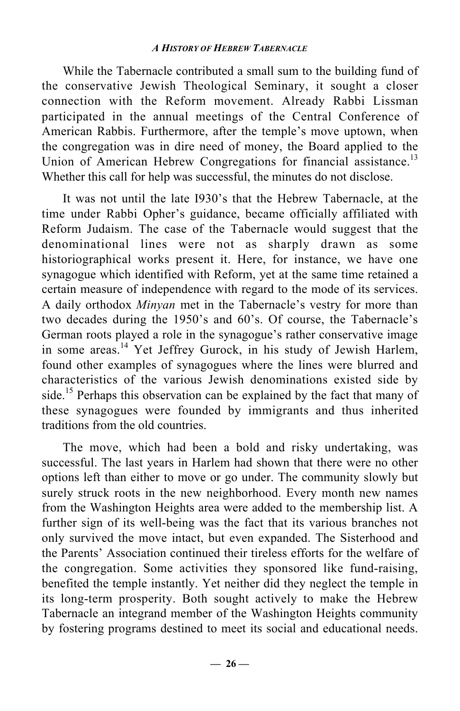While the Tabernacle contributed a small sum to the building fund of the conservative Jewish Theological Seminary, it sought a closer connection with the Reform movement. Already Rabbi Lissman participated in the annual meetings of the Central Conference of American Rabbis. Furthermore, after the temple's move uptown, when the congregation was in dire need of money, the Board applied to the Union of American Hebrew Congregations for financial assistance.<sup>13</sup> Whether this call for help was successful, the minutes do not disclose.

It was not until the late I930's that the Hebrew Tabernacle, at the time under Rabbi Opher's guidance, became officially affiliated with Reform Judaism. The case of the Tabernacle would suggest that the denominational lines were not as sharply drawn as some historiographical works present it. Here, for instance, we have one synagogue which identified with Reform, yet at the same time retained a certain measure of independence with regard to the mode of its services. A daily orthodox *Minyan* met in the Tabernacle's vestry for more than two decades during the 1950's and 60's. Of course, the Tabernacle's German roots played a role in the synagogue's rather conservative image in some areas.<sup>14</sup> Yet Jeffrey Gurock, in his study of Jewish Harlem, found other examples of synagogues where the lines were blurred and characteristics of the various Jewish denominations existed side by side.<sup>15</sup> Perhaps this observation can be explained by the fact that many of these synagogues were founded by immigrants and thus inherited traditions from the old countries.

The move, which had been a bold and risky undertaking, was successful. The last years in Harlem had shown that there were no other options left than either to move or go under. The community slowly but surely struck roots in the new neighborhood. Every month new names from the Washington Heights area were added to the membership list. A further sign of its well-being was the fact that its various branches not only survived the move intact, but even expanded. The Sisterhood and the Parents' Association continued their tireless efforts for the welfare of the congregation. Some activities they sponsored like fund-raising, benefited the temple instantly. Yet neither did they neglect the temple in its long-term prosperity. Both sought actively to make the Hebrew Tabernacle an integrand member of the Washington Heights community by fostering programs destined to meet its social and educational needs.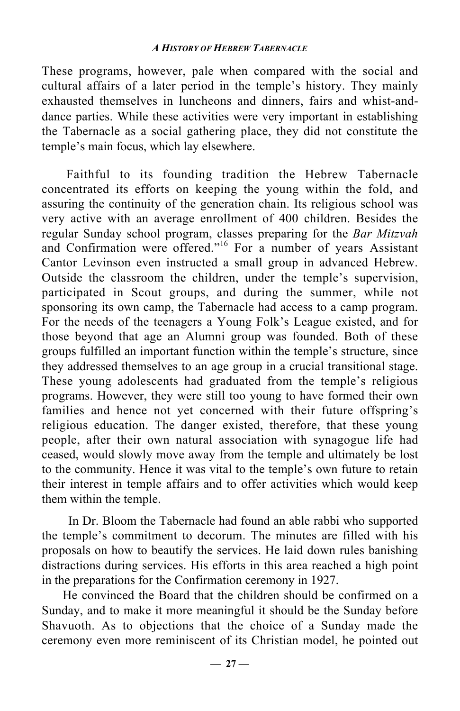These programs, however, pale when compared with the social and cultural affairs of a later period in the temple's history. They mainly exhausted themselves in luncheons and dinners, fairs and whist-anddance parties. While these activities were very important in establishing the Tabernacle as a social gathering place, they did not constitute the temple's main focus, which lay elsewhere.

Faithful to its founding tradition the Hebrew Tabernacle concentrated its efforts on keeping the young within the fold, and assuring the continuity of the generation chain. Its religious school was very active with an average enrollment of 400 children. Besides the regular Sunday school program, classes preparing for the *Bar Mitzvah* and Confirmation were offered."<sup>16</sup> For a number of years Assistant Cantor Levinson even instructed a small group in advanced Hebrew. Outside the classroom the children, under the temple's supervision, participated in Scout groups, and during the summer, while not sponsoring its own camp, the Tabernacle had access to a camp program. For the needs of the teenagers a Young Folk's League existed, and for those beyond that age an Alumni group was founded. Both of these groups fulfilled an important function within the temple's structure, since they addressed themselves to an age group in a crucial transitional stage. These young adolescents had graduated from the temple's religious programs. However, they were still too young to have formed their own families and hence not yet concerned with their future offspring's religious education. The danger existed, therefore, that these young people, after their own natural association with synagogue life had ceased, would slowly move away from the temple and ultimately be lost to the community. Hence it was vital to the temple's own future to retain their interest in temple affairs and to offer activities which would keep them within the temple.

In Dr. Bloom the Tabernacle had found an able rabbi who supported the temple's commitment to decorum. The minutes are filled with his proposals on how to beautify the services. He laid down rules banishing distractions during services. His efforts in this area reached a high point in the preparations for the Confirmation ceremony in 1927.

He convinced the Board that the children should be confirmed on a Sunday, and to make it more meaningful it should be the Sunday before Shavuoth. As to objections that the choice of a Sunday made the ceremony even more reminiscent of its Christian model, he pointed out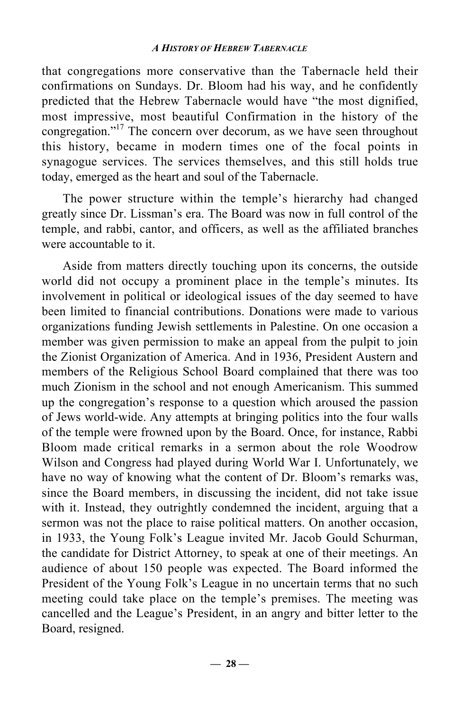that congregations more conservative than the Tabernacle held their confirmations on Sundays. Dr. Bloom had his way, and he confidently predicted that the Hebrew Tabernacle would have "the most dignified, most impressive, most beautiful Confirmation in the history of the congregation."17 The concern over decorum, as we have seen throughout this history, became in modern times one of the focal points in synagogue services. The services themselves, and this still holds true today, emerged as the heart and soul of the Tabernacle.

The power structure within the temple's hierarchy had changed greatly since Dr. Lissman's era. The Board was now in full control of the temple, and rabbi, cantor, and officers, as well as the affiliated branches were accountable to it.

Aside from matters directly touching upon its concerns, the outside world did not occupy a prominent place in the temple's minutes. Its involvement in political or ideological issues of the day seemed to have been limited to financial contributions. Donations were made to various organizations funding Jewish settlements in Palestine. On one occasion a member was given permission to make an appeal from the pulpit to join the Zionist Organization of America. And in 1936, President Austern and members of the Religious School Board complained that there was too much Zionism in the school and not enough Americanism. This summed up the congregation's response to a question which aroused the passion of Jews world-wide. Any attempts at bringing politics into the four walls of the temple were frowned upon by the Board. Once, for instance, Rabbi Bloom made critical remarks in a sermon about the role Woodrow Wilson and Congress had played during World War I. Unfortunately, we have no way of knowing what the content of Dr. Bloom's remarks was, since the Board members, in discussing the incident, did not take issue with it. Instead, they outrightly condemned the incident, arguing that a sermon was not the place to raise political matters. On another occasion, in 1933, the Young Folk's League invited Mr. Jacob Gould Schurman, the candidate for District Attorney, to speak at one of their meetings. An audience of about 150 people was expected. The Board informed the President of the Young Folk's League in no uncertain terms that no such meeting could take place on the temple's premises. The meeting was cancelled and the League's President, in an angry and bitter letter to the Board, resigned.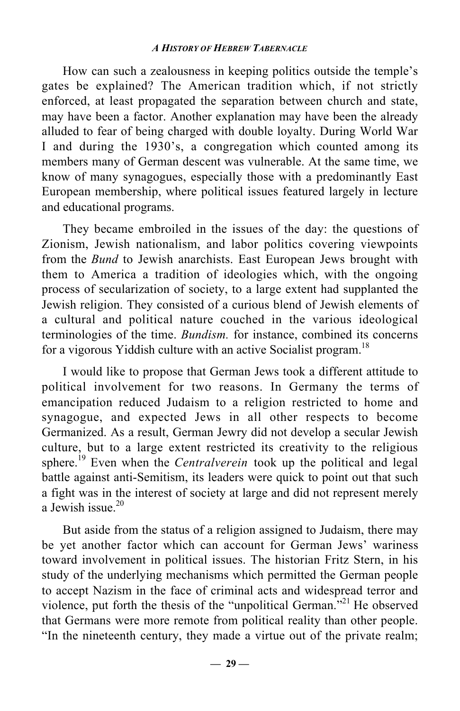How can such a zealousness in keeping politics outside the temple's gates be explained? The American tradition which, if not strictly enforced, at least propagated the separation between church and state, may have been a factor. Another explanation may have been the already alluded to fear of being charged with double loyalty. During World War I and during the 1930's, a congregation which counted among its members many of German descent was vulnerable. At the same time, we know of many synagogues, especially those with a predominantly East European membership, where political issues featured largely in lecture and educational programs.

They became embroiled in the issues of the day: the questions of Zionism, Jewish nationalism, and labor politics covering viewpoints from the *Bund* to Jewish anarchists. East European Jews brought with them to America a tradition of ideologies which, with the ongoing process of secularization of society, to a large extent had supplanted the Jewish religion. They consisted of a curious blend of Jewish elements of a cultural and political nature couched in the various ideological terminologies of the time. *Bundism.* for instance, combined its concerns for a vigorous Yiddish culture with an active Socialist program.<sup>18</sup>

I would like to propose that German Jews took a different attitude to political involvement for two reasons. In Germany the terms of emancipation reduced Judaism to a religion restricted to home and synagogue, and expected Jews in all other respects to become Germanized. As a result, German Jewry did not develop a secular Jewish culture, but to a large extent restricted its creativity to the religious sphere.<sup>19</sup> Even when the *Centralverein* took up the political and legal battle against anti-Semitism, its leaders were quick to point out that such a fight was in the interest of society at large and did not represent merely a Jewish issue. $20$ 

But aside from the status of a religion assigned to Judaism, there may be yet another factor which can account for German Jews' wariness toward involvement in political issues. The historian Fritz Stern, in his study of the underlying mechanisms which permitted the German people to accept Nazism in the face of criminal acts and widespread terror and violence, put forth the thesis of the "unpolitical German."<sup>21</sup> He observed that Germans were more remote from political reality than other people. "In the nineteenth century, they made a virtue out of the private realm;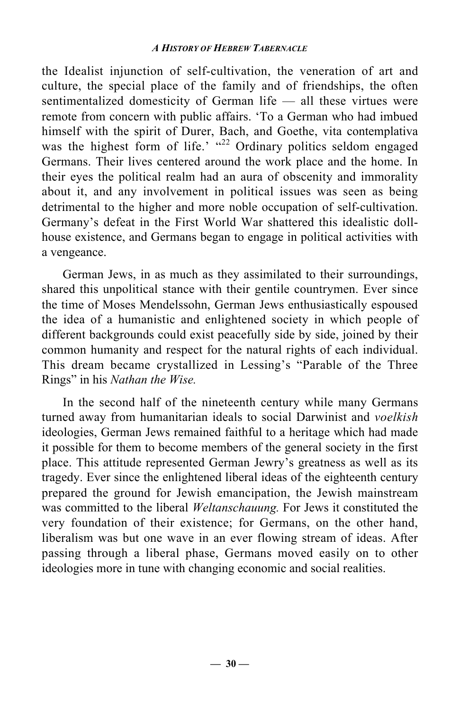the Idealist injunction of self-cultivation, the veneration of art and culture, the special place of the family and of friendships, the often sentimentalized domesticity of German life — all these virtues were remote from concern with public affairs. 'To a German who had imbued himself with the spirit of Durer, Bach, and Goethe, vita contemplativa was the highest form of life.'  $\frac{d^{2}}{2}$  Ordinary politics seldom engaged Germans. Their lives centered around the work place and the home. In their eyes the political realm had an aura of obscenity and immorality about it, and any involvement in political issues was seen as being detrimental to the higher and more noble occupation of self-cultivation. Germany's defeat in the First World War shattered this idealistic dollhouse existence, and Germans began to engage in political activities with a vengeance.

German Jews, in as much as they assimilated to their surroundings, shared this unpolitical stance with their gentile countrymen. Ever since the time of Moses Mendelssohn, German Jews enthusiastically espoused the idea of a humanistic and enlightened society in which people of different backgrounds could exist peacefully side by side, joined by their common humanity and respect for the natural rights of each individual. This dream became crystallized in Lessing's "Parable of the Three Rings" in his *Nathan the Wise.*

In the second half of the nineteenth century while many Germans turned away from humanitarian ideals to social Darwinist and *voelkish* ideologies, German Jews remained faithful to a heritage which had made it possible for them to become members of the general society in the first place. This attitude represented German Jewry's greatness as well as its tragedy. Ever since the enlightened liberal ideas of the eighteenth century prepared the ground for Jewish emancipation, the Jewish mainstream was committed to the liberal *Weltanschauung.* For Jews it constituted the very foundation of their existence; for Germans, on the other hand, liberalism was but one wave in an ever flowing stream of ideas. After passing through a liberal phase, Germans moved easily on to other ideologies more in tune with changing economic and social realities.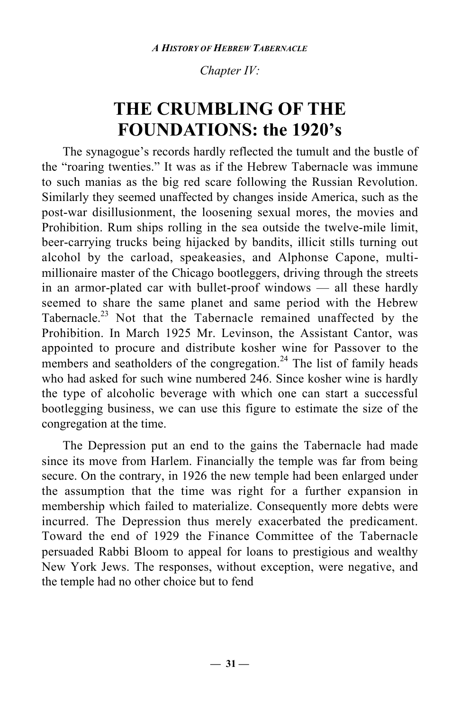*Chapter IV:*

# **THE CRUMBLING OF THE FOUNDATIONS: the 1920's**

The synagogue's records hardly reflected the tumult and the bustle of the "roaring twenties." It was as if the Hebrew Tabernacle was immune to such manias as the big red scare following the Russian Revolution. Similarly they seemed unaffected by changes inside America, such as the post-war disillusionment, the loosening sexual mores, the movies and Prohibition. Rum ships rolling in the sea outside the twelve-mile limit, beer-carrying trucks being hijacked by bandits, illicit stills turning out alcohol by the carload, speakeasies, and Alphonse Capone, multimillionaire master of the Chicago bootleggers, driving through the streets in an armor-plated car with bullet-proof windows — all these hardly seemed to share the same planet and same period with the Hebrew Tabernacle.<sup>23</sup> Not that the Tabernacle remained unaffected by the Prohibition. In March 1925 Mr. Levinson, the Assistant Cantor, was appointed to procure and distribute kosher wine for Passover to the members and seatholders of the congregation.<sup>24</sup> The list of family heads who had asked for such wine numbered 246. Since kosher wine is hardly the type of alcoholic beverage with which one can start a successful bootlegging business, we can use this figure to estimate the size of the congregation at the time.

The Depression put an end to the gains the Tabernacle had made since its move from Harlem. Financially the temple was far from being secure. On the contrary, in 1926 the new temple had been enlarged under the assumption that the time was right for a further expansion in membership which failed to materialize. Consequently more debts were incurred. The Depression thus merely exacerbated the predicament. Toward the end of 1929 the Finance Committee of the Tabernacle persuaded Rabbi Bloom to appeal for loans to prestigious and wealthy New York Jews. The responses, without exception, were negative, and the temple had no other choice but to fend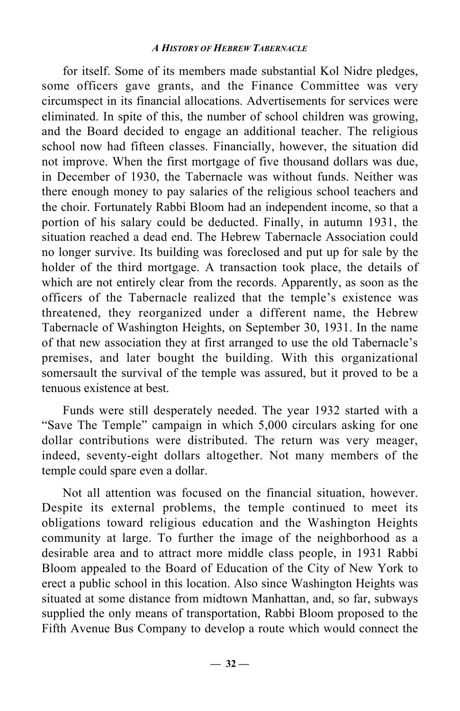for itself. Some of its members made substantial Kol Nidre pledges, some officers gave grants, and the Finance Committee was very circumspect in its financial allocations. Advertisements for services were eliminated. In spite of this, the number of school children was growing, and the Board decided to engage an additional teacher. The religious school now had fifteen classes. Financially, however, the situation did not improve. When the first mortgage of five thousand dollars was due, in December of 1930, the Tabernacle was without funds. Neither was there enough money to pay salaries of the religious school teachers and the choir. Fortunately Rabbi Bloom had an independent income, so that a portion of his salary could be deducted. Finally, in autumn 1931, the situation reached a dead end. The Hebrew Tabernacle Association could no longer survive. Its building was foreclosed and put up for sale by the holder of the third mortgage. A transaction took place, the details of which are not entirely clear from the records. Apparently, as soon as the officers of the Tabernacle realized that the temple's existence was threatened, they reorganized under a different name, the Hebrew Tabernacle of Washington Heights, on September 30, 1931. In the name of that new association they at first arranged to use the old Tabernacle's premises, and later bought the building. With this organizational somersault the survival of the temple was assured, but it proved to be a tenuous existence at best.

Funds were still desperately needed. The year 1932 started with a "Save The Temple" campaign in which 5,000 circulars asking for one dollar contributions were distributed. The return was very meager, indeed, seventy-eight dollars altogether. Not many members of the temple could spare even a dollar.

Not all attention was focused on the financial situation, however. Despite its external problems, the temple continued to meet its obligations toward religious education and the Washington Heights community at large. To further the image of the neighborhood as a desirable area and to attract more middle class people, in 1931 Rabbi Bloom appealed to the Board of Education of the City of New York to erect a public school in this location. Also since Washington Heights was situated at some distance from midtown Manhattan, and, so far, subways supplied the only means of transportation, Rabbi Bloom proposed to the Fifth Avenue Bus Company to develop a route which would connect the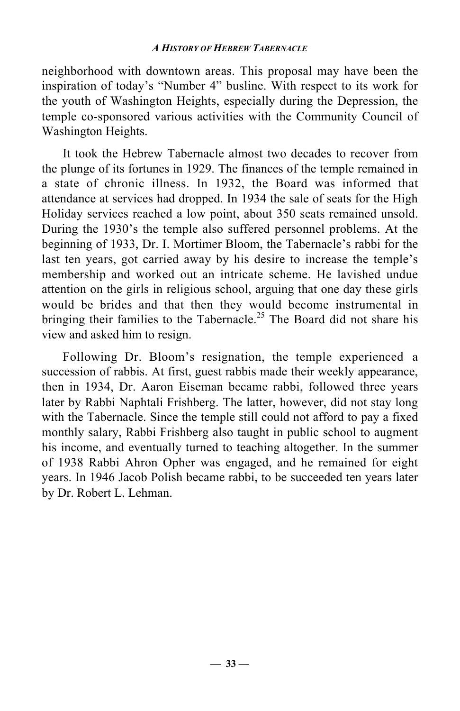neighborhood with downtown areas. This proposal may have been the inspiration of today's "Number 4" busline. With respect to its work for the youth of Washington Heights, especially during the Depression, the temple co-sponsored various activities with the Community Council of Washington Heights.

It took the Hebrew Tabernacle almost two decades to recover from the plunge of its fortunes in 1929. The finances of the temple remained in a state of chronic illness. In 1932, the Board was informed that attendance at services had dropped. In 1934 the sale of seats for the High Holiday services reached a low point, about 350 seats remained unsold. During the 1930's the temple also suffered personnel problems. At the beginning of 1933, Dr. I. Mortimer Bloom, the Tabernacle's rabbi for the last ten years, got carried away by his desire to increase the temple's membership and worked out an intricate scheme. He lavished undue attention on the girls in religious school, arguing that one day these girls would be brides and that then they would become instrumental in bringing their families to the Tabernacle.<sup>25</sup> The Board did not share his view and asked him to resign.

Following Dr. Bloom's resignation, the temple experienced a succession of rabbis. At first, guest rabbis made their weekly appearance, then in 1934, Dr. Aaron Eiseman became rabbi, followed three years later by Rabbi Naphtali Frishberg. The latter, however, did not stay long with the Tabernacle. Since the temple still could not afford to pay a fixed monthly salary, Rabbi Frishberg also taught in public school to augment his income, and eventually turned to teaching altogether. In the summer of 1938 Rabbi Ahron Opher was engaged, and he remained for eight years. In 1946 Jacob Polish became rabbi, to be succeeded ten years later by Dr. Robert L. Lehman.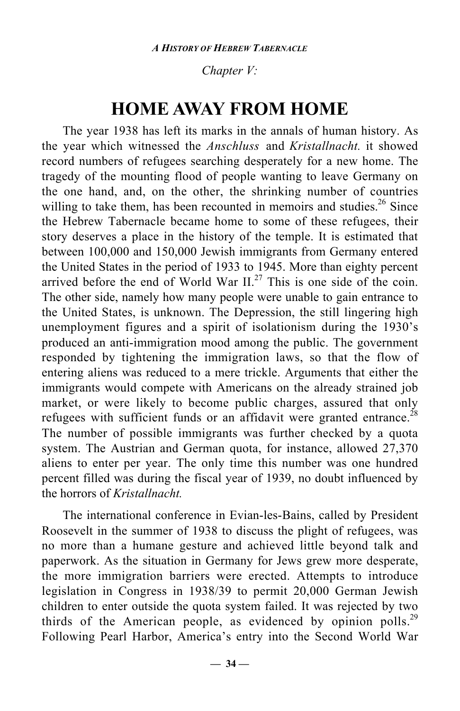### *Chapter V:*

### **HOME AWAY FROM HOME**

The year 1938 has left its marks in the annals of human history. As the year which witnessed the *Anschluss* and *Kristallnacht.* it showed record numbers of refugees searching desperately for a new home. The tragedy of the mounting flood of people wanting to leave Germany on the one hand, and, on the other, the shrinking number of countries willing to take them, has been recounted in memoirs and studies.<sup>26</sup> Since the Hebrew Tabernacle became home to some of these refugees, their story deserves a place in the history of the temple. It is estimated that between 100,000 and 150,000 Jewish immigrants from Germany entered the United States in the period of 1933 to 1945. More than eighty percent arrived before the end of World War  $II^{27}$ . This is one side of the coin. The other side, namely how many people were unable to gain entrance to the United States, is unknown. The Depression, the still lingering high unemployment figures and a spirit of isolationism during the 1930's produced an anti-immigration mood among the public. The government responded by tightening the immigration laws, so that the flow of entering aliens was reduced to a mere trickle. Arguments that either the immigrants would compete with Americans on the already strained job market, or were likely to become public charges, assured that only refugees with sufficient funds or an affidavit were granted entrance.<sup>28</sup> The number of possible immigrants was further checked by a quota system. The Austrian and German quota, for instance, allowed 27,370 aliens to enter per year. The only time this number was one hundred percent filled was during the fiscal year of 1939, no doubt influenced by the horrors of *Kristallnacht.*

The international conference in Evian-les-Bains, called by President Roosevelt in the summer of 1938 to discuss the plight of refugees, was no more than a humane gesture and achieved little beyond talk and paperwork. As the situation in Germany for Jews grew more desperate, the more immigration barriers were erected. Attempts to introduce legislation in Congress in 1938/39 to permit 20,000 German Jewish children to enter outside the quota system failed. It was rejected by two thirds of the American people, as evidenced by opinion polls.<sup>29</sup> Following Pearl Harbor, America's entry into the Second World War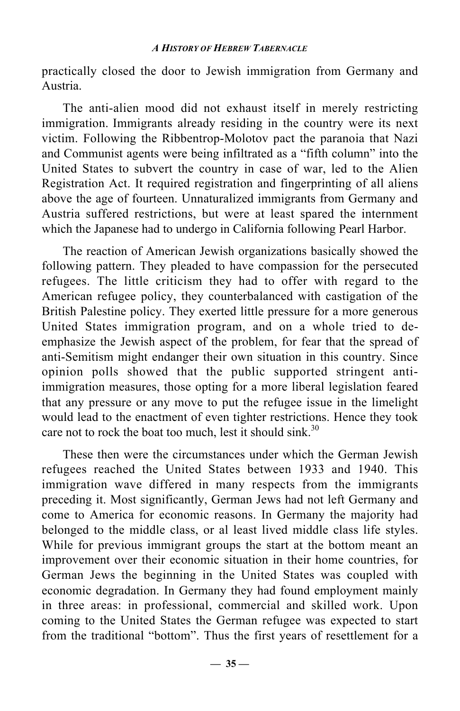practically closed the door to Jewish immigration from Germany and Austria.

The anti-alien mood did not exhaust itself in merely restricting immigration. Immigrants already residing in the country were its next victim. Following the Ribbentrop-Molotov pact the paranoia that Nazi and Communist agents were being infiltrated as a "fifth column" into the United States to subvert the country in case of war, led to the Alien Registration Act. It required registration and fingerprinting of all aliens above the age of fourteen. Unnaturalized immigrants from Germany and Austria suffered restrictions, but were at least spared the internment which the Japanese had to undergo in California following Pearl Harbor.

The reaction of American Jewish organizations basically showed the following pattern. They pleaded to have compassion for the persecuted refugees. The little criticism they had to offer with regard to the American refugee policy, they counterbalanced with castigation of the British Palestine policy. They exerted little pressure for a more generous United States immigration program, and on a whole tried to deemphasize the Jewish aspect of the problem, for fear that the spread of anti-Semitism might endanger their own situation in this country. Since opinion polls showed that the public supported stringent antiimmigration measures, those opting for a more liberal legislation feared that any pressure or any move to put the refugee issue in the limelight would lead to the enactment of even tighter restrictions. Hence they took care not to rock the boat too much, lest it should sink.<sup>30</sup>

These then were the circumstances under which the German Jewish refugees reached the United States between 1933 and 1940. This immigration wave differed in many respects from the immigrants preceding it. Most significantly, German Jews had not left Germany and come to America for economic reasons. In Germany the majority had belonged to the middle class, or al least lived middle class life styles. While for previous immigrant groups the start at the bottom meant an improvement over their economic situation in their home countries, for German Jews the beginning in the United States was coupled with economic degradation. In Germany they had found employment mainly in three areas: in professional, commercial and skilled work. Upon coming to the United States the German refugee was expected to start from the traditional "bottom". Thus the first years of resettlement for a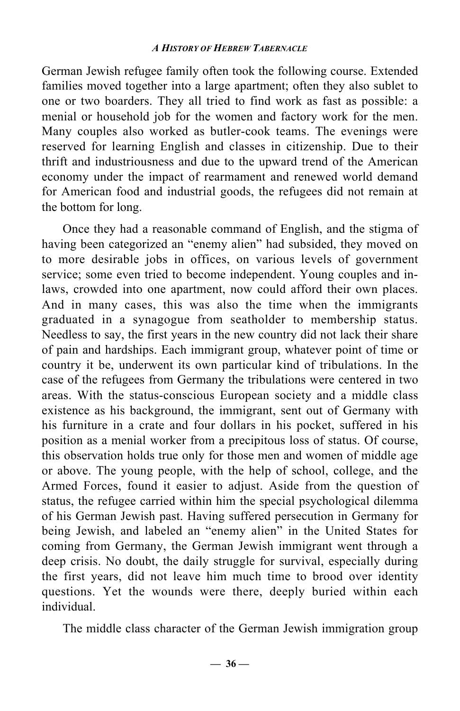German Jewish refugee family often took the following course. Extended families moved together into a large apartment; often they also sublet to one or two boarders. They all tried to find work as fast as possible: a menial or household job for the women and factory work for the men. Many couples also worked as butler-cook teams. The evenings were reserved for learning English and classes in citizenship. Due to their thrift and industriousness and due to the upward trend of the American economy under the impact of rearmament and renewed world demand for American food and industrial goods, the refugees did not remain at the bottom for long.

Once they had a reasonable command of English, and the stigma of having been categorized an "enemy alien" had subsided, they moved on to more desirable jobs in offices, on various levels of government service; some even tried to become independent. Young couples and inlaws, crowded into one apartment, now could afford their own places. And in many cases, this was also the time when the immigrants graduated in a synagogue from seatholder to membership status. Needless to say, the first years in the new country did not lack their share of pain and hardships. Each immigrant group, whatever point of time or country it be, underwent its own particular kind of tribulations. In the case of the refugees from Germany the tribulations were centered in two areas. With the status-conscious European society and a middle class existence as his background, the immigrant, sent out of Germany with his furniture in a crate and four dollars in his pocket, suffered in his position as a menial worker from a precipitous loss of status. Of course, this observation holds true only for those men and women of middle age or above. The young people, with the help of school, college, and the Armed Forces, found it easier to adjust. Aside from the question of status, the refugee carried within him the special psychological dilemma of his German Jewish past. Having suffered persecution in Germany for being Jewish, and labeled an "enemy alien" in the United States for coming from Germany, the German Jewish immigrant went through a deep crisis. No doubt, the daily struggle for survival, especially during the first years, did not leave him much time to brood over identity questions. Yet the wounds were there, deeply buried within each individual.

The middle class character of the German Jewish immigration group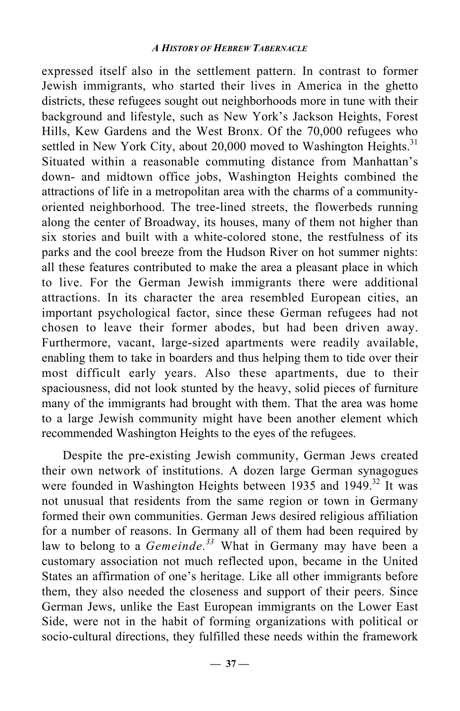expressed itself also in the settlement pattern. In contrast to former Jewish immigrants, who started their lives in America in the ghetto districts, these refugees sought out neighborhoods more in tune with their background and lifestyle, such as New York's Jackson Heights, Forest Hills, Kew Gardens and the West Bronx. Of the 70,000 refugees who settled in New York City, about 20,000 moved to Washington Heights.<sup>31</sup> Situated within a reasonable commuting distance from Manhattan's down- and midtown office jobs, Washington Heights combined the attractions of life in a metropolitan area with the charms of a communityoriented neighborhood. The tree-lined streets, the flowerbeds running along the center of Broadway, its houses, many of them not higher than six stories and built with a white-colored stone, the restfulness of its parks and the cool breeze from the Hudson River on hot summer nights: all these features contributed to make the area a pleasant place in which to live. For the German Jewish immigrants there were additional attractions. In its character the area resembled European cities, an important psychological factor, since these German refugees had not chosen to leave their former abodes, but had been driven away. Furthermore, vacant, large-sized apartments were readily available, enabling them to take in boarders and thus helping them to tide over their most difficult early years. Also these apartments, due to their spaciousness, did not look stunted by the heavy, solid pieces of furniture many of the immigrants had brought with them. That the area was home to a large Jewish community might have been another element which recommended Washington Heights to the eyes of the refugees.

Despite the pre-existing Jewish community, German Jews created their own network of institutions. A dozen large German synagogues were founded in Washington Heights between 1935 and 1949.<sup>32</sup> It was not unusual that residents from the same region or town in Germany formed their own communities. German Jews desired religious affiliation for a number of reasons. In Germany all of them had been required by law to belong to a *Gemeinde.<sup>33</sup>* What in Germany may have been a customary association not much reflected upon, became in the United States an affirmation of one's heritage. Like all other immigrants before them, they also needed the closeness and support of their peers. Since German Jews, unlike the East European immigrants on the Lower East Side, were not in the habit of forming organizations with political or socio-cultural directions, they fulfilled these needs within the framework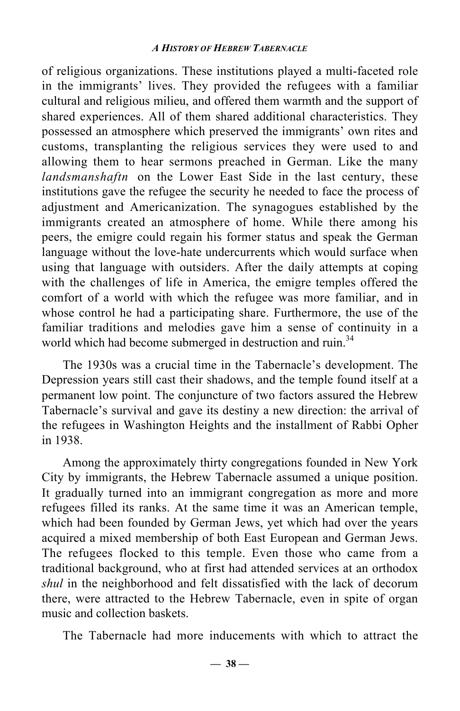of religious organizations. These institutions played a multi-faceted role in the immigrants' lives. They provided the refugees with a familiar cultural and religious milieu, and offered them warmth and the support of shared experiences. All of them shared additional characteristics. They possessed an atmosphere which preserved the immigrants' own rites and customs, transplanting the religious services they were used to and allowing them to hear sermons preached in German. Like the many *landsmanshaftn* on the Lower East Side in the last century, these institutions gave the refugee the security he needed to face the process of adjustment and Americanization. The synagogues established by the immigrants created an atmosphere of home. While there among his peers, the emigre could regain his former status and speak the German language without the love-hate undercurrents which would surface when using that language with outsiders. After the daily attempts at coping with the challenges of life in America, the emigre temples offered the comfort of a world with which the refugee was more familiar, and in whose control he had a participating share. Furthermore, the use of the familiar traditions and melodies gave him a sense of continuity in a world which had become submerged in destruction and ruin.<sup>34</sup>

The 1930s was a crucial time in the Tabernacle's development. The Depression years still cast their shadows, and the temple found itself at a permanent low point. The conjuncture of two factors assured the Hebrew Tabernacle's survival and gave its destiny a new direction: the arrival of the refugees in Washington Heights and the installment of Rabbi Opher in 1938.

Among the approximately thirty congregations founded in New York City by immigrants, the Hebrew Tabernacle assumed a unique position. It gradually turned into an immigrant congregation as more and more refugees filled its ranks. At the same time it was an American temple, which had been founded by German Jews, yet which had over the years acquired a mixed membership of both East European and German Jews. The refugees flocked to this temple. Even those who came from a traditional background, who at first had attended services at an orthodox *shul* in the neighborhood and felt dissatisfied with the lack of decorum there, were attracted to the Hebrew Tabernacle, even in spite of organ music and collection baskets.

The Tabernacle had more inducements with which to attract the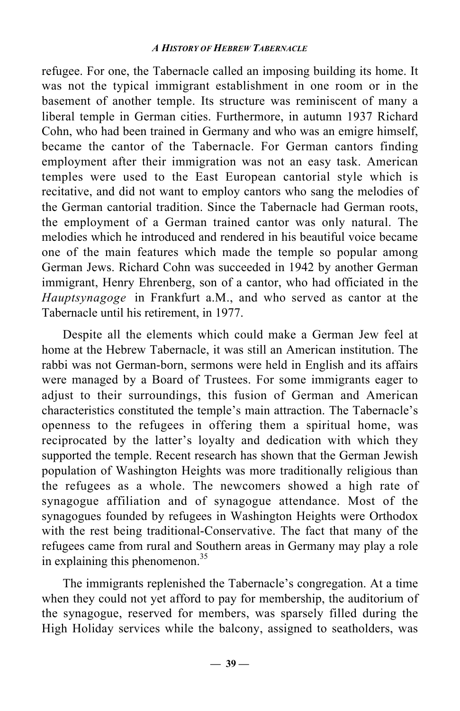refugee. For one, the Tabernacle called an imposing building its home. It was not the typical immigrant establishment in one room or in the basement of another temple. Its structure was reminiscent of many a liberal temple in German cities. Furthermore, in autumn 1937 Richard Cohn, who had been trained in Germany and who was an emigre himself, became the cantor of the Tabernacle. For German cantors finding employment after their immigration was not an easy task. American temples were used to the East European cantorial style which is recitative, and did not want to employ cantors who sang the melodies of the German cantorial tradition. Since the Tabernacle had German roots, the employment of a German trained cantor was only natural. The melodies which he introduced and rendered in his beautiful voice became one of the main features which made the temple so popular among German Jews. Richard Cohn was succeeded in 1942 by another German immigrant, Henry Ehrenberg, son of a cantor, who had officiated in the *Hauptsynagoge* in Frankfurt a.M., and who served as cantor at the Tabernacle until his retirement, in 1977.

Despite all the elements which could make a German Jew feel at home at the Hebrew Tabernacle, it was still an American institution. The rabbi was not German-born, sermons were held in English and its affairs were managed by a Board of Trustees. For some immigrants eager to adjust to their surroundings, this fusion of German and American characteristics constituted the temple's main attraction. The Tabernacle's openness to the refugees in offering them a spiritual home, was reciprocated by the latter's loyalty and dedication with which they supported the temple. Recent research has shown that the German Jewish population of Washington Heights was more traditionally religious than the refugees as a whole. The newcomers showed a high rate of synagogue affiliation and of synagogue attendance. Most of the synagogues founded by refugees in Washington Heights were Orthodox with the rest being traditional-Conservative. The fact that many of the refugees came from rural and Southern areas in Germany may play a role in explaining this phenomenon. $35$ 

The immigrants replenished the Tabernacle's congregation. At a time when they could not yet afford to pay for membership, the auditorium of the synagogue, reserved for members, was sparsely filled during the High Holiday services while the balcony, assigned to seatholders, was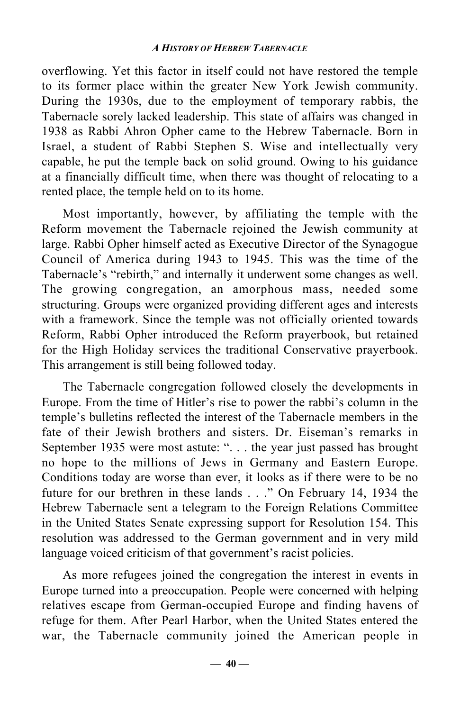overflowing. Yet this factor in itself could not have restored the temple to its former place within the greater New York Jewish community. During the 1930s, due to the employment of temporary rabbis, the Tabernacle sorely lacked leadership. This state of affairs was changed in 1938 as Rabbi Ahron Opher came to the Hebrew Tabernacle. Born in Israel, a student of Rabbi Stephen S. Wise and intellectually very capable, he put the temple back on solid ground. Owing to his guidance at a financially difficult time, when there was thought of relocating to a rented place, the temple held on to its home.

Most importantly, however, by affiliating the temple with the Reform movement the Tabernacle rejoined the Jewish community at large. Rabbi Opher himself acted as Executive Director of the Synagogue Council of America during 1943 to 1945. This was the time of the Tabernacle's "rebirth," and internally it underwent some changes as well. The growing congregation, an amorphous mass, needed some structuring. Groups were organized providing different ages and interests with a framework. Since the temple was not officially oriented towards Reform, Rabbi Opher introduced the Reform prayerbook, but retained for the High Holiday services the traditional Conservative prayerbook. This arrangement is still being followed today.

The Tabernacle congregation followed closely the developments in Europe. From the time of Hitler's rise to power the rabbi's column in the temple's bulletins reflected the interest of the Tabernacle members in the fate of their Jewish brothers and sisters. Dr. Eiseman's remarks in September 1935 were most astute: ". . . the year just passed has brought no hope to the millions of Jews in Germany and Eastern Europe. Conditions today are worse than ever, it looks as if there were to be no future for our brethren in these lands . . ." On February 14, 1934 the Hebrew Tabernacle sent a telegram to the Foreign Relations Committee in the United States Senate expressing support for Resolution 154. This resolution was addressed to the German government and in very mild language voiced criticism of that government's racist policies.

As more refugees joined the congregation the interest in events in Europe turned into a preoccupation. People were concerned with helping relatives escape from German-occupied Europe and finding havens of refuge for them. After Pearl Harbor, when the United States entered the war, the Tabernacle community joined the American people in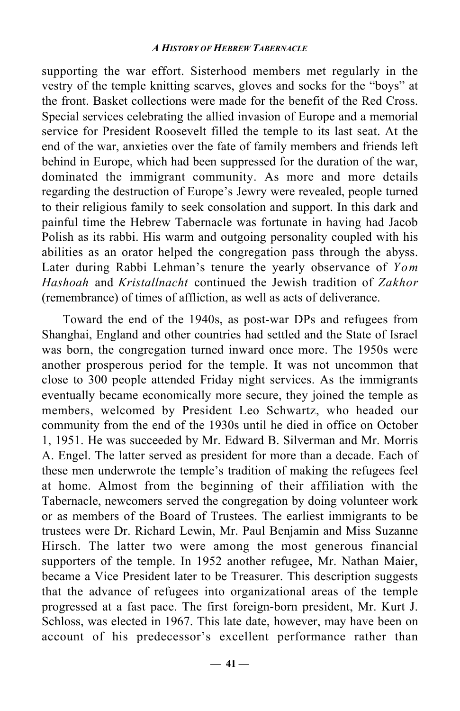supporting the war effort. Sisterhood members met regularly in the vestry of the temple knitting scarves, gloves and socks for the "boys" at the front. Basket collections were made for the benefit of the Red Cross. Special services celebrating the allied invasion of Europe and a memorial service for President Roosevelt filled the temple to its last seat. At the end of the war, anxieties over the fate of family members and friends left behind in Europe, which had been suppressed for the duration of the war, dominated the immigrant community. As more and more details regarding the destruction of Europe's Jewry were revealed, people turned to their religious family to seek consolation and support. In this dark and painful time the Hebrew Tabernacle was fortunate in having had Jacob Polish as its rabbi. His warm and outgoing personality coupled with his abilities as an orator helped the congregation pass through the abyss. Later during Rabbi Lehman's tenure the yearly observance of *Yom Hashoah* and *Kristallnacht* continued the Jewish tradition of *Zakhor* (remembrance) of times of affliction, as well as acts of deliverance.

Toward the end of the 1940s, as post-war DPs and refugees from Shanghai, England and other countries had settled and the State of Israel was born, the congregation turned inward once more. The 1950s were another prosperous period for the temple. It was not uncommon that close to 300 people attended Friday night services. As the immigrants eventually became economically more secure, they joined the temple as members, welcomed by President Leo Schwartz, who headed our community from the end of the 1930s until he died in office on October 1, 1951. He was succeeded by Mr. Edward B. Silverman and Mr. Morris A. Engel. The latter served as president for more than a decade. Each of these men underwrote the temple's tradition of making the refugees feel at home. Almost from the beginning of their affiliation with the Tabernacle, newcomers served the congregation by doing volunteer work or as members of the Board of Trustees. The earliest immigrants to be trustees were Dr. Richard Lewin, Mr. Paul Benjamin and Miss Suzanne Hirsch. The latter two were among the most generous financial supporters of the temple. In 1952 another refugee, Mr. Nathan Maier, became a Vice President later to be Treasurer. This description suggests that the advance of refugees into organizational areas of the temple progressed at a fast pace. The first foreign-born president, Mr. Kurt J. Schloss, was elected in 1967. This late date, however, may have been on account of his predecessor's excellent performance rather than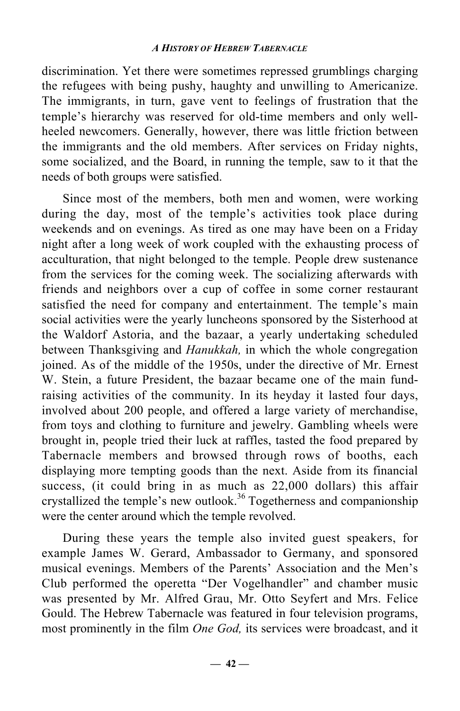discrimination. Yet there were sometimes repressed grumblings charging the refugees with being pushy, haughty and unwilling to Americanize. The immigrants, in turn, gave vent to feelings of frustration that the temple's hierarchy was reserved for old-time members and only wellheeled newcomers. Generally, however, there was little friction between the immigrants and the old members. After services on Friday nights, some socialized, and the Board, in running the temple, saw to it that the needs of both groups were satisfied.

Since most of the members, both men and women, were working during the day, most of the temple's activities took place during weekends and on evenings. As tired as one may have been on a Friday night after a long week of work coupled with the exhausting process of acculturation, that night belonged to the temple. People drew sustenance from the services for the coming week. The socializing afterwards with friends and neighbors over a cup of coffee in some corner restaurant satisfied the need for company and entertainment. The temple's main social activities were the yearly luncheons sponsored by the Sisterhood at the Waldorf Astoria, and the bazaar, a yearly undertaking scheduled between Thanksgiving and *Hanukkah,* in which the whole congregation joined. As of the middle of the 1950s, under the directive of Mr. Ernest W. Stein, a future President, the bazaar became one of the main fundraising activities of the community. In its heyday it lasted four days, involved about 200 people, and offered a large variety of merchandise, from toys and clothing to furniture and jewelry. Gambling wheels were brought in, people tried their luck at raffles, tasted the food prepared by Tabernacle members and browsed through rows of booths, each displaying more tempting goods than the next. Aside from its financial success, (it could bring in as much as 22,000 dollars) this affair crystallized the temple's new outlook.<sup>36</sup> Togetherness and companionship were the center around which the temple revolved.

During these years the temple also invited guest speakers, for example James W. Gerard, Ambassador to Germany, and sponsored musical evenings. Members of the Parents' Association and the Men's Club performed the operetta "Der Vogelhandler" and chamber music was presented by Mr. Alfred Grau, Mr. Otto Seyfert and Mrs. Felice Gould. The Hebrew Tabernacle was featured in four television programs, most prominently in the film *One God,* its services were broadcast, and it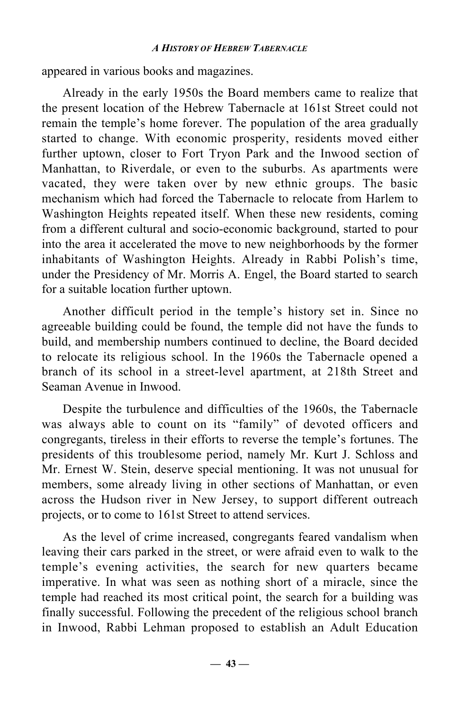appeared in various books and magazines.

Already in the early 1950s the Board members came to realize that the present location of the Hebrew Tabernacle at 161st Street could not remain the temple's home forever. The population of the area gradually started to change. With economic prosperity, residents moved either further uptown, closer to Fort Tryon Park and the Inwood section of Manhattan, to Riverdale, or even to the suburbs. As apartments were vacated, they were taken over by new ethnic groups. The basic mechanism which had forced the Tabernacle to relocate from Harlem to Washington Heights repeated itself. When these new residents, coming from a different cultural and socio-economic background, started to pour into the area it accelerated the move to new neighborhoods by the former inhabitants of Washington Heights. Already in Rabbi Polish's time, under the Presidency of Mr. Morris A. Engel, the Board started to search for a suitable location further uptown.

Another difficult period in the temple's history set in. Since no agreeable building could be found, the temple did not have the funds to build, and membership numbers continued to decline, the Board decided to relocate its religious school. In the 1960s the Tabernacle opened a branch of its school in a street-level apartment, at 218th Street and Seaman Avenue in Inwood.

Despite the turbulence and difficulties of the 1960s, the Tabernacle was always able to count on its "family" of devoted officers and congregants, tireless in their efforts to reverse the temple's fortunes. The presidents of this troublesome period, namely Mr. Kurt J. Schloss and Mr. Ernest W. Stein, deserve special mentioning. It was not unusual for members, some already living in other sections of Manhattan, or even across the Hudson river in New Jersey, to support different outreach projects, or to come to 161st Street to attend services.

As the level of crime increased, congregants feared vandalism when leaving their cars parked in the street, or were afraid even to walk to the temple's evening activities, the search for new quarters became imperative. In what was seen as nothing short of a miracle, since the temple had reached its most critical point, the search for a building was finally successful. Following the precedent of the religious school branch in Inwood, Rabbi Lehman proposed to establish an Adult Education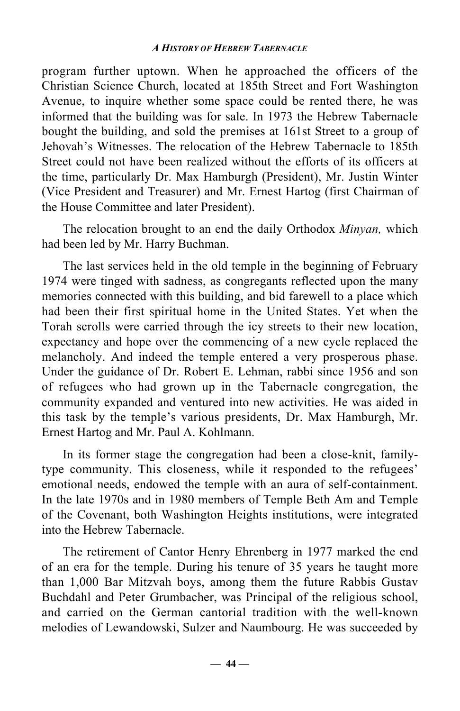program further uptown. When he approached the officers of the Christian Science Church, located at 185th Street and Fort Washington Avenue, to inquire whether some space could be rented there, he was informed that the building was for sale. In 1973 the Hebrew Tabernacle bought the building, and sold the premises at 161st Street to a group of Jehovah's Witnesses. The relocation of the Hebrew Tabernacle to 185th Street could not have been realized without the efforts of its officers at the time, particularly Dr. Max Hamburgh (President), Mr. Justin Winter (Vice President and Treasurer) and Mr. Ernest Hartog (first Chairman of the House Committee and later President).

The relocation brought to an end the daily Orthodox *Minyan,* which had been led by Mr. Harry Buchman.

The last services held in the old temple in the beginning of February 1974 were tinged with sadness, as congregants reflected upon the many memories connected with this building, and bid farewell to a place which had been their first spiritual home in the United States. Yet when the Torah scrolls were carried through the icy streets to their new location, expectancy and hope over the commencing of a new cycle replaced the melancholy. And indeed the temple entered a very prosperous phase. Under the guidance of Dr. Robert E. Lehman, rabbi since 1956 and son of refugees who had grown up in the Tabernacle congregation, the community expanded and ventured into new activities. He was aided in this task by the temple's various presidents, Dr. Max Hamburgh, Mr. Ernest Hartog and Mr. Paul A. Kohlmann.

In its former stage the congregation had been a close-knit, familytype community. This closeness, while it responded to the refugees' emotional needs, endowed the temple with an aura of self-containment. In the late 1970s and in 1980 members of Temple Beth Am and Temple of the Covenant, both Washington Heights institutions, were integrated into the Hebrew Tabernacle.

The retirement of Cantor Henry Ehrenberg in 1977 marked the end of an era for the temple. During his tenure of 35 years he taught more than 1,000 Bar Mitzvah boys, among them the future Rabbis Gustav Buchdahl and Peter Grumbacher, was Principal of the religious school, and carried on the German cantorial tradition with the well-known melodies of Lewandowski, Sulzer and Naumbourg. He was succeeded by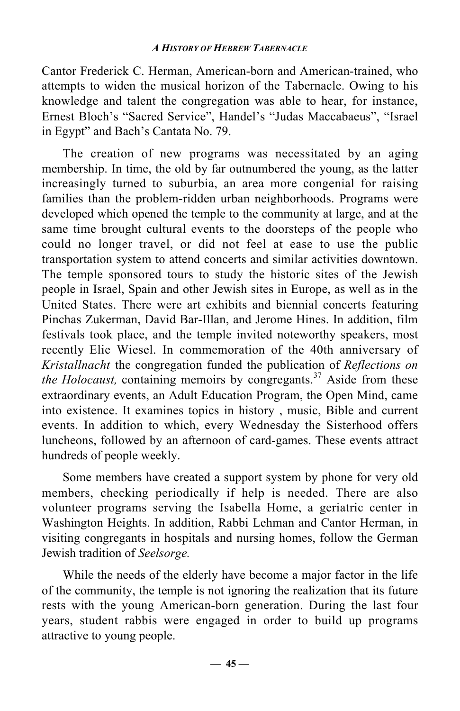Cantor Frederick C. Herman, American-born and American-trained, who attempts to widen the musical horizon of the Tabernacle. Owing to his knowledge and talent the congregation was able to hear, for instance, Ernest Bloch's "Sacred Service", Handel's "Judas Maccabaeus", "Israel in Egypt" and Bach's Cantata No. 79.

The creation of new programs was necessitated by an aging membership. In time, the old by far outnumbered the young, as the latter increasingly turned to suburbia, an area more congenial for raising families than the problem-ridden urban neighborhoods. Programs were developed which opened the temple to the community at large, and at the same time brought cultural events to the doorsteps of the people who could no longer travel, or did not feel at ease to use the public transportation system to attend concerts and similar activities downtown. The temple sponsored tours to study the historic sites of the Jewish people in Israel, Spain and other Jewish sites in Europe, as well as in the United States. There were art exhibits and biennial concerts featuring Pinchas Zukerman, David Bar-Illan, and Jerome Hines. In addition, film festivals took place, and the temple invited noteworthy speakers, most recently Elie Wiesel. In commemoration of the 40th anniversary of *Kristallnacht* the congregation funded the publication of *Reflections on the Holocaust,* containing memoirs by congregants.<sup>37</sup> Aside from these extraordinary events, an Adult Education Program, the Open Mind, came into existence. It examines topics in history , music, Bible and current events. In addition to which, every Wednesday the Sisterhood offers luncheons, followed by an afternoon of card-games. These events attract hundreds of people weekly.

Some members have created a support system by phone for very old members, checking periodically if help is needed. There are also volunteer programs serving the Isabella Home, a geriatric center in Washington Heights. In addition, Rabbi Lehman and Cantor Herman, in visiting congregants in hospitals and nursing homes, follow the German Jewish tradition of *Seelsorge.*

While the needs of the elderly have become a major factor in the life of the community, the temple is not ignoring the realization that its future rests with the young American-born generation. During the last four years, student rabbis were engaged in order to build up programs attractive to young people.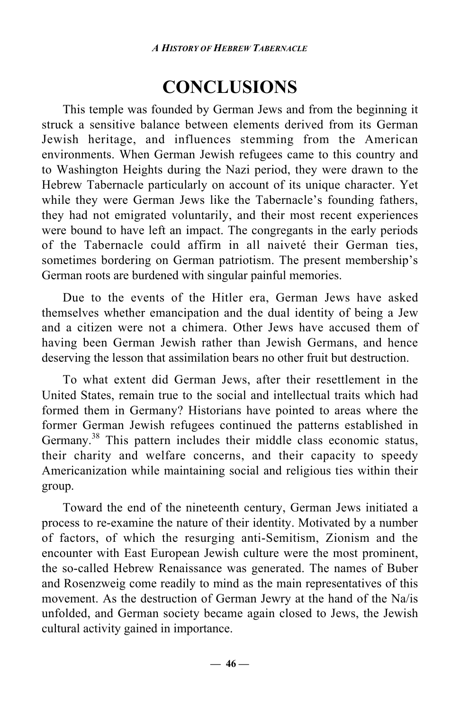# **CONCLUSIONS**

This temple was founded by German Jews and from the beginning it struck a sensitive balance between elements derived from its German Jewish heritage, and influences stemming from the American environments. When German Jewish refugees came to this country and to Washington Heights during the Nazi period, they were drawn to the Hebrew Tabernacle particularly on account of its unique character. Yet while they were German Jews like the Tabernacle's founding fathers, they had not emigrated voluntarily, and their most recent experiences were bound to have left an impact. The congregants in the early periods of the Tabernacle could affirm in all naiveté their German ties, sometimes bordering on German patriotism. The present membership's German roots are burdened with singular painful memories.

Due to the events of the Hitler era, German Jews have asked themselves whether emancipation and the dual identity of being a Jew and a citizen were not a chimera. Other Jews have accused them of having been German Jewish rather than Jewish Germans, and hence deserving the lesson that assimilation bears no other fruit but destruction.

To what extent did German Jews, after their resettlement in the United States, remain true to the social and intellectual traits which had formed them in Germany? Historians have pointed to areas where the former German Jewish refugees continued the patterns established in Germany.<sup>38</sup> This pattern includes their middle class economic status, their charity and welfare concerns, and their capacity to speedy Americanization while maintaining social and religious ties within their group.

Toward the end of the nineteenth century, German Jews initiated a process to re-examine the nature of their identity. Motivated by a number of factors, of which the resurging anti-Semitism, Zionism and the encounter with East European Jewish culture were the most prominent, the so-called Hebrew Renaissance was generated. The names of Buber and Rosenzweig come readily to mind as the main representatives of this movement. As the destruction of German Jewry at the hand of the Na/is unfolded, and German society became again closed to Jews, the Jewish cultural activity gained in importance.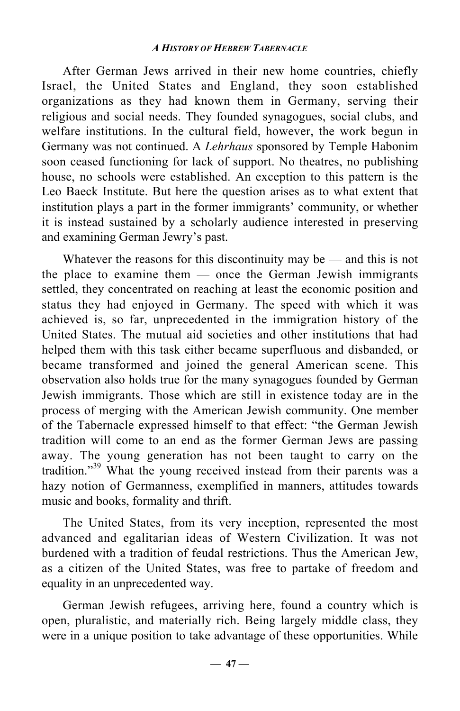After German Jews arrived in their new home countries, chiefly Israel, the United States and England, they soon established organizations as they had known them in Germany, serving their religious and social needs. They founded synagogues, social clubs, and welfare institutions. In the cultural field, however, the work begun in Germany was not continued. A *Lehrhaus* sponsored by Temple Habonim soon ceased functioning for lack of support. No theatres, no publishing house, no schools were established. An exception to this pattern is the Leo Baeck Institute. But here the question arises as to what extent that institution plays a part in the former immigrants' community, or whether it is instead sustained by a scholarly audience interested in preserving and examining German Jewry's past.

Whatever the reasons for this discontinuity may be — and this is not the place to examine them — once the German Jewish immigrants settled, they concentrated on reaching at least the economic position and status they had enjoyed in Germany. The speed with which it was achieved is, so far, unprecedented in the immigration history of the United States. The mutual aid societies and other institutions that had helped them with this task either became superfluous and disbanded, or became transformed and joined the general American scene. This observation also holds true for the many synagogues founded by German Jewish immigrants. Those which are still in existence today are in the process of merging with the American Jewish community. One member of the Tabernacle expressed himself to that effect: "the German Jewish tradition will come to an end as the former German Jews are passing away. The young generation has not been taught to carry on the tradition."<sup>39</sup> What the young received instead from their parents was a hazy notion of Germanness, exemplified in manners, attitudes towards music and books, formality and thrift.

The United States, from its very inception, represented the most advanced and egalitarian ideas of Western Civilization. It was not burdened with a tradition of feudal restrictions. Thus the American Jew, as a citizen of the United States, was free to partake of freedom and equality in an unprecedented way.

German Jewish refugees, arriving here, found a country which is open, pluralistic, and materially rich. Being largely middle class, they were in a unique position to take advantage of these opportunities. While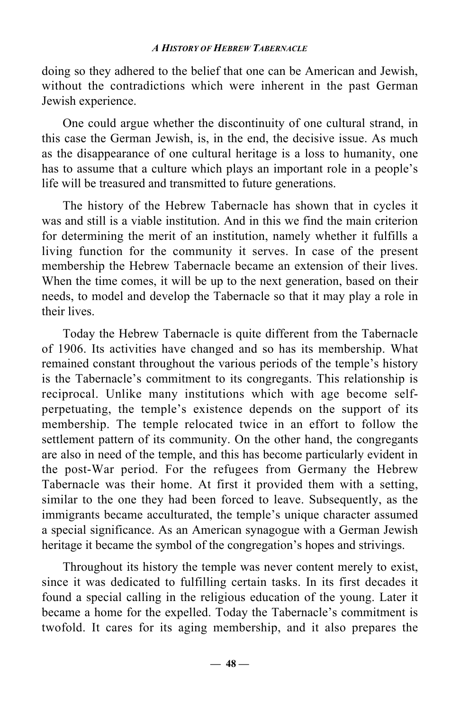doing so they adhered to the belief that one can be American and Jewish, without the contradictions which were inherent in the past German Jewish experience.

One could argue whether the discontinuity of one cultural strand, in this case the German Jewish, is, in the end, the decisive issue. As much as the disappearance of one cultural heritage is a loss to humanity, one has to assume that a culture which plays an important role in a people's life will be treasured and transmitted to future generations.

The history of the Hebrew Tabernacle has shown that in cycles it was and still is a viable institution. And in this we find the main criterion for determining the merit of an institution, namely whether it fulfills a living function for the community it serves. In case of the present membership the Hebrew Tabernacle became an extension of their lives. When the time comes, it will be up to the next generation, based on their needs, to model and develop the Tabernacle so that it may play a role in their lives.

Today the Hebrew Tabernacle is quite different from the Tabernacle of 1906. Its activities have changed and so has its membership. What remained constant throughout the various periods of the temple's history is the Tabernacle's commitment to its congregants. This relationship is reciprocal. Unlike many institutions which with age become selfperpetuating, the temple's existence depends on the support of its membership. The temple relocated twice in an effort to follow the settlement pattern of its community. On the other hand, the congregants are also in need of the temple, and this has become particularly evident in the post-War period. For the refugees from Germany the Hebrew Tabernacle was their home. At first it provided them with a setting, similar to the one they had been forced to leave. Subsequently, as the immigrants became acculturated, the temple's unique character assumed a special significance. As an American synagogue with a German Jewish heritage it became the symbol of the congregation's hopes and strivings.

Throughout its history the temple was never content merely to exist, since it was dedicated to fulfilling certain tasks. In its first decades it found a special calling in the religious education of the young. Later it became a home for the expelled. Today the Tabernacle's commitment is twofold. It cares for its aging membership, and it also prepares the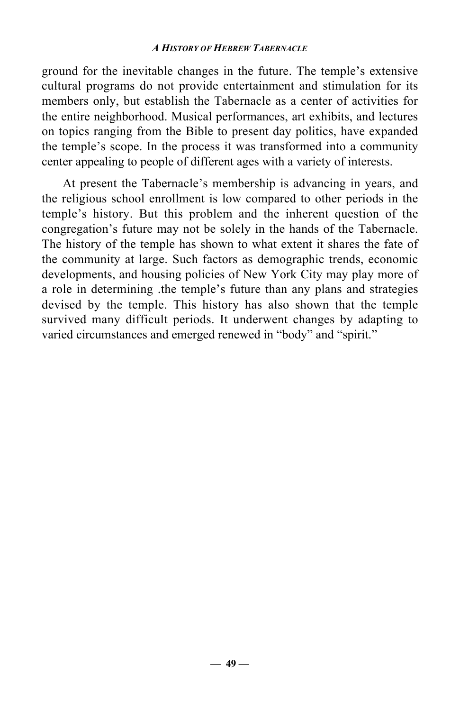ground for the inevitable changes in the future. The temple's extensive cultural programs do not provide entertainment and stimulation for its members only, but establish the Tabernacle as a center of activities for the entire neighborhood. Musical performances, art exhibits, and lectures on topics ranging from the Bible to present day politics, have expanded the temple's scope. In the process it was transformed into a community center appealing to people of different ages with a variety of interests.

At present the Tabernacle's membership is advancing in years, and the religious school enrollment is low compared to other periods in the temple's history. But this problem and the inherent question of the congregation's future may not be solely in the hands of the Tabernacle. The history of the temple has shown to what extent it shares the fate of the community at large. Such factors as demographic trends, economic developments, and housing policies of New York City may play more of a role in determining .the temple's future than any plans and strategies devised by the temple. This history has also shown that the temple survived many difficult periods. It underwent changes by adapting to varied circumstances and emerged renewed in "body" and "spirit."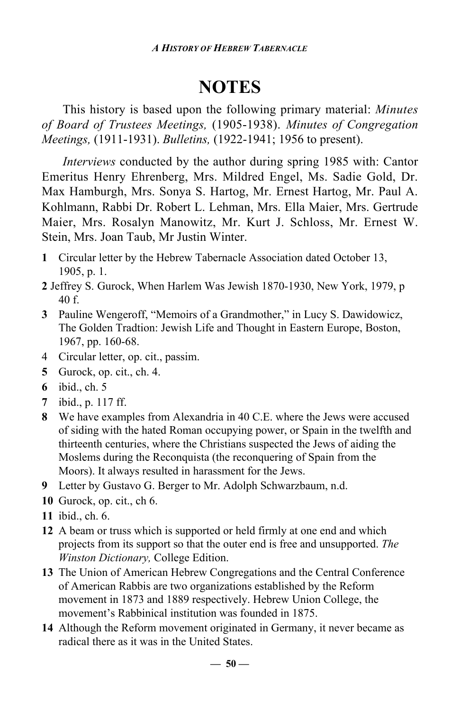## **NOTES**

This history is based upon the following primary material: *Minutes of Board of Trustees Meetings,* (1905-1938). *Minutes of Congregation Meetings,* (1911-1931). *Bulletins,* (1922-1941; 1956 to present).

*Interviews* conducted by the author during spring 1985 with: Cantor Emeritus Henry Ehrenberg, Mrs. Mildred Engel, Ms. Sadie Gold, Dr. Max Hamburgh, Mrs. Sonya S. Hartog, Mr. Ernest Hartog, Mr. Paul A. Kohlmann, Rabbi Dr. Robert L. Lehman, Mrs. Ella Maier, Mrs. Gertrude Maier, Mrs. Rosalyn Manowitz, Mr. Kurt J. Schloss, Mr. Ernest W. Stein, Mrs. Joan Taub, Mr Justin Winter.

- **1** Circular letter by the Hebrew Tabernacle Association dated October 13, 1905, p. 1.
- **2** Jeffrey S. Gurock, When Harlem Was Jewish 1870-1930, New York, 1979, p 40 f.
- **3** Pauline Wengeroff, "Memoirs of a Grandmother," in Lucy S. Dawidowicz, The Golden Tradtion: Jewish Life and Thought in Eastern Europe, Boston, 1967, pp. 160-68.
- 4 Circular letter, op. cit., passim.
- **5** Gurock, op. cit., ch. 4.
- **6** ibid., ch. 5
- **7** ibid., p. 117 ff.
- **8** We have examples from Alexandria in 40 C.E. where the Jews were accused of siding with the hated Roman occupying power, or Spain in the twelfth and thirteenth centuries, where the Christians suspected the Jews of aiding the Moslems during the Reconquista (the reconquering of Spain from the Moors). It always resulted in harassment for the Jews.
- **9** Letter by Gustavo G. Berger to Mr. Adolph Schwarzbaum, n.d.
- **10** Gurock, op. cit., ch 6.
- **11** ibid., ch. 6.
- **12** A beam or truss which is supported or held firmly at one end and which projects from its support so that the outer end is free and unsupported. *The Winston Dictionary,* College Edition.
- **13** The Union of American Hebrew Congregations and the Central Conference of American Rabbis are two organizations established by the Reform movement in 1873 and 1889 respectively. Hebrew Union College, the movement's Rabbinical institution was founded in 1875.
- **14** Although the Reform movement originated in Germany, it never became as radical there as it was in the United States.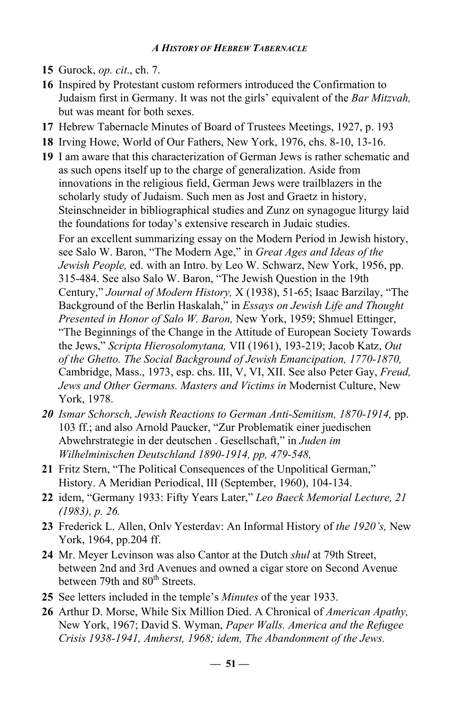- **15** Gurock, *op. cit*., ch. 7.
- **16** Inspired by Protestant custom reformers introduced the Confirmation to Judaism first in Germany. It was not the girls' equivalent of the *Bar Mitzvah,* but was meant for both sexes.
- **17** Hebrew Tabernacle Minutes of Board of Trustees Meetings, 1927, p. 193
- **18** Irving Howe, World of Our Fathers, New York, 1976, chs. 8-10, 13-16.
- **19** I am aware that this characterization of German Jews is rather schematic and as such opens itself up to the charge of generalization. Aside from innovations in the religious field, German Jews were trailblazers in the scholarly study of Judaism. Such men as Jost and Graetz in history, Steinschneider in bibliographical studies and Zunz on synagogue liturgy laid the foundations for today's extensive research in Judaic studies. For an excellent summarizing essay on the Modern Period in Jewish history, see Salo W. Baron, "The Modern Age," in *Great Ages and Ideas of the Jewish People,* ed. with an Intro. by Leo W. Schwarz, New York, 1956, pp. 315-484. See also Salo W. Baron, "The Jewish Question in the 19th Century," *Journal of Modern History,* X (1938), 51-65; Isaac Barzilay, "The Background of the Berlin Haskalah," in *Essays on Jewish Life and Thought Presented in Honor of Salo W. Baron,* New York, 1959; Shmuel Ettinger, "The Beginnings of the Change in the Attitude of European Society Towards the Jews," *Scripta Hierosolomytana,* VII (1961), 193-219; Jacob Katz, *Out of the Ghetto. The Social Background of Jewish Emancipation, 1770-1870,* Cambridge, Mass., 1973, esp. chs. III, V, VI, XII. See also Peter Gay, *Freud, Jews and Other Germans. Masters and Victims in* Modernist Culture, New York, 1978.
- *20 Ismar Schorsch, Jewish Reactions to German Anti-Semitism, 1870-1914,* pp. 103 ff.; and also Arnold Paucker, "Zur Problematik einer juedischen Abwehrstrategie in der deutschen . Gesellschaft," in *Juden im Wilhelminischen Deutschland 1890-1914, pp, 479-548,*
- **21** Fritz Stern, "The Political Consequences of the Unpolitical German," History. A Meridian Periodical, III (September, 1960), 104-134.
- **22** idem, "Germany 1933: Fifty Years Later," *Leo Baeck Memorial Lecture, 21 (1983), p. 26.*
- **23** Frederick L. Allen, Onlv Yesterdav: An Informal History of *the 1920's,* New York, 1964, pp.204 ff.
- **24** Mr. Meyer Levinson was also Cantor at the Dutch *shul* at 79th Street, between 2nd and 3rd Avenues and owned a cigar store on Second Avenue between 79th and 80<sup>th</sup> Streets.
- **25** See letters included in the temple's *Minutes* of the year 1933.
- **26** Arthur D. Morse, While Six Million Died. A Chronical of *American Apathy,* New York, 1967; David S. Wyman, *Paper Walls. America and the Refugee Crisis 1938-1941, Amherst, 1968; idem, The Abandonment of the Jews.*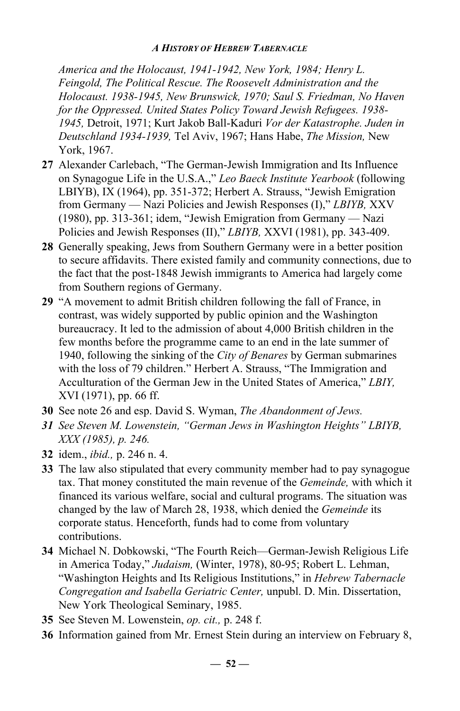*America and the Holocaust, 1941-1942, New York, 1984; Henry L. Feingold, The Political Rescue. The Roosevelt Administration and the Holocaust. 1938-1945, New Brunswick, 1970; Saul S. Friedman, No Haven for the Oppressed. United States Policy Toward Jewish Refugees. 1938- 1945,* Detroit, 1971; Kurt Jakob Ball-Kaduri *Vor der Katastrophe. Juden in Deutschland 1934-1939,* Tel Aviv, 1967; Hans Habe, *The Mission,* New York, 1967.

- **27** Alexander Carlebach, "The German-Jewish Immigration and Its Influence on Synagogue Life in the U.S.A.," *Leo Baeck Institute Yearbook* (following LBIYB), IX (1964), pp. 351-372; Herbert A. Strauss, "Jewish Emigration from Germany — Nazi Policies and Jewish Responses (I)," *LBIYB,* XXV (1980), pp. 313-361; idem, "Jewish Emigration from Germany — Nazi Policies and Jewish Responses (II)," *LBIYB,* XXVI (1981), pp. 343-409.
- **28** Generally speaking, Jews from Southern Germany were in a better position to secure affidavits. There existed family and community connections, due to the fact that the post-1848 Jewish immigrants to America had largely come from Southern regions of Germany.
- **29** "A movement to admit British children following the fall of France, in contrast, was widely supported by public opinion and the Washington bureaucracy. It led to the admission of about 4,000 British children in the few months before the programme came to an end in the late summer of 1940, following the sinking of the *City of Benares* by German submarines with the loss of 79 children." Herbert A. Strauss, "The Immigration and Acculturation of the German Jew in the United States of America," *LBIY,* XVI (1971), pp. 66 ff.
- **30** See note 26 and esp. David S. Wyman, *The Abandonment of Jews.*
- *31 See Steven M. Lowenstein, "German Jews in Washington Heights" LBIYB, XXX (1985), p. 246.*
- **32** idem., *ibid.,* p. 246 n. 4.
- **33** The law also stipulated that every community member had to pay synagogue tax. That money constituted the main revenue of the *Gemeinde,* with which it financed its various welfare, social and cultural programs. The situation was changed by the law of March 28, 1938, which denied the *Gemeinde* its corporate status. Henceforth, funds had to come from voluntary contributions.
- **34** Michael N. Dobkowski, "The Fourth Reich—German-Jewish Religious Life in America Today," *Judaism,* (Winter, 1978), 80-95; Robert L. Lehman, "Washington Heights and Its Religious Institutions," in *Hebrew Tabernacle Congregation and Isabella Geriatric Center,* unpubl. D. Min. Dissertation, New York Theological Seminary, 1985.
- **35** See Steven M. Lowenstein, *op. cit.,* p. 248 f.
- **36** Information gained from Mr. Ernest Stein during an interview on February 8,